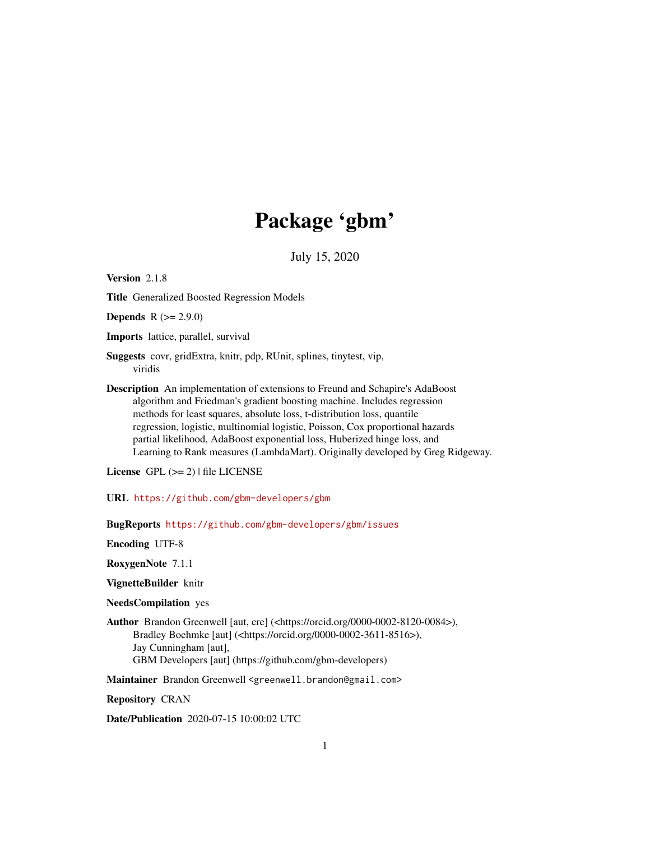# Package 'gbm'

July 15, 2020

<span id="page-0-0"></span>Version 2.1.8

Title Generalized Boosted Regression Models

**Depends**  $R (= 2.9.0)$ 

Imports lattice, parallel, survival

Suggests covr, gridExtra, knitr, pdp, RUnit, splines, tinytest, vip, viridis

Description An implementation of extensions to Freund and Schapire's AdaBoost algorithm and Friedman's gradient boosting machine. Includes regression methods for least squares, absolute loss, t-distribution loss, quantile regression, logistic, multinomial logistic, Poisson, Cox proportional hazards partial likelihood, AdaBoost exponential loss, Huberized hinge loss, and Learning to Rank measures (LambdaMart). Originally developed by Greg Ridgeway.

License GPL  $(>= 2)$  | file LICENSE

URL <https://github.com/gbm-developers/gbm>

BugReports <https://github.com/gbm-developers/gbm/issues>

Encoding UTF-8

RoxygenNote 7.1.1

VignetteBuilder knitr

NeedsCompilation yes

Author Brandon Greenwell [aut, cre] (<https://orcid.org/0000-0002-8120-0084>), Bradley Boehmke [aut] (<https://orcid.org/0000-0002-3611-8516>), Jay Cunningham [aut], GBM Developers [aut] (https://github.com/gbm-developers)

Maintainer Brandon Greenwell <greenwell.brandon@gmail.com>

Repository CRAN

Date/Publication 2020-07-15 10:00:02 UTC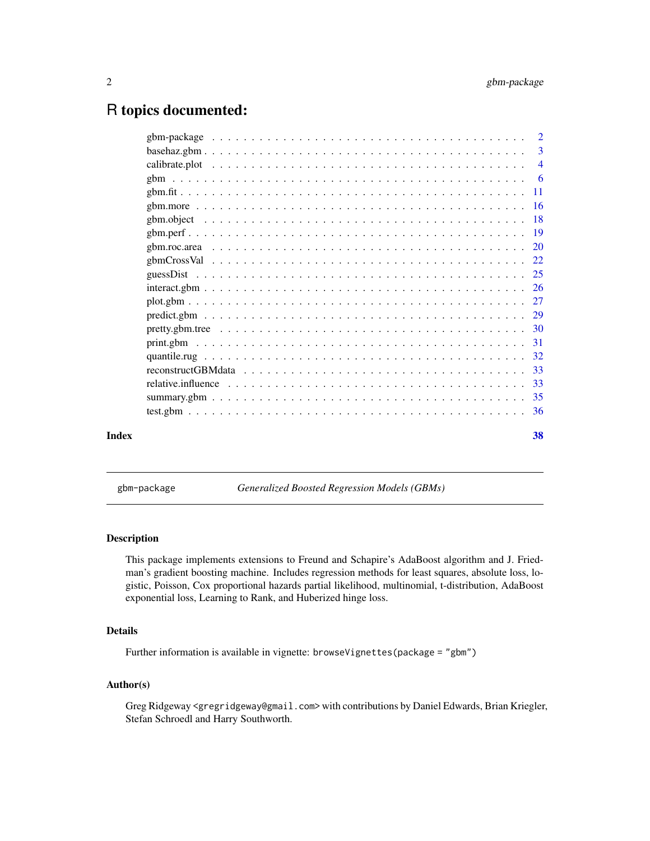# <span id="page-1-0"></span>R topics documented:

| Index | 38 |
|-------|----|
|       |    |
|       |    |
|       |    |
|       |    |
|       |    |
|       |    |
|       |    |
|       |    |
|       |    |
|       |    |
|       |    |
|       |    |
|       |    |
|       |    |
|       |    |
|       |    |
|       |    |
|       |    |
|       |    |
|       | 3  |
|       |    |

gbm-package *Generalized Boosted Regression Models (GBMs)*

#### Description

This package implements extensions to Freund and Schapire's AdaBoost algorithm and J. Friedman's gradient boosting machine. Includes regression methods for least squares, absolute loss, logistic, Poisson, Cox proportional hazards partial likelihood, multinomial, t-distribution, AdaBoost exponential loss, Learning to Rank, and Huberized hinge loss.

# Details

Further information is available in vignette: browseVignettes(package = "gbm")

# Author(s)

Greg Ridgeway <gregridgeway@gmail.com> with contributions by Daniel Edwards, Brian Kriegler, Stefan Schroedl and Harry Southworth.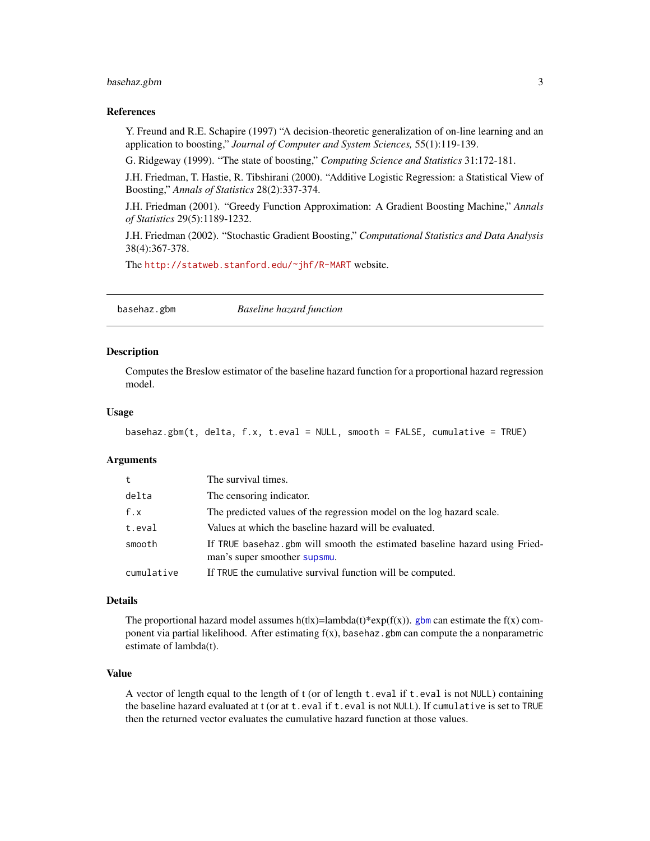# <span id="page-2-0"></span>basehaz.gbm 3

#### References

Y. Freund and R.E. Schapire (1997) "A decision-theoretic generalization of on-line learning and an application to boosting," *Journal of Computer and System Sciences,* 55(1):119-139.

G. Ridgeway (1999). "The state of boosting," *Computing Science and Statistics* 31:172-181.

J.H. Friedman, T. Hastie, R. Tibshirani (2000). "Additive Logistic Regression: a Statistical View of Boosting," *Annals of Statistics* 28(2):337-374.

J.H. Friedman (2001). "Greedy Function Approximation: A Gradient Boosting Machine," *Annals of Statistics* 29(5):1189-1232.

J.H. Friedman (2002). "Stochastic Gradient Boosting," *Computational Statistics and Data Analysis* 38(4):367-378.

The <http://statweb.stanford.edu/~jhf/R-MART> website.

basehaz.gbm *Baseline hazard function*

#### **Description**

Computes the Breslow estimator of the baseline hazard function for a proportional hazard regression model.

#### Usage

```
basehaz.gbm(t, delta, f.x, t.eval = NULL, smooth = FALSE, cumulative = TRUE)
```
#### Arguments

| t.         | The survival times.                                                                                        |
|------------|------------------------------------------------------------------------------------------------------------|
| delta      | The censoring indicator.                                                                                   |
| f.x        | The predicted values of the regression model on the log hazard scale.                                      |
| t.eval     | Values at which the baseline hazard will be evaluated.                                                     |
| smooth     | If TRUE basehaz.gbm will smooth the estimated baseline hazard using Fried-<br>man's super smoother supsmu. |
| cumulative | If TRUE the cumulative survival function will be computed.                                                 |

# Details

The proportional hazard model assumes  $h(t|x)=lambda(t)*exp(f(x))$ . [gbm](#page-5-1) can estimate the  $f(x)$  component via partial likelihood. After estimating  $f(x)$ , basehaz.gbm can compute the a nonparametric estimate of lambda(t).

#### Value

A vector of length equal to the length of t (or of length t.eval if t.eval is not NULL) containing the baseline hazard evaluated at t (or at t.eval if t.eval is not NULL). If cumulative is set to TRUE then the returned vector evaluates the cumulative hazard function at those values.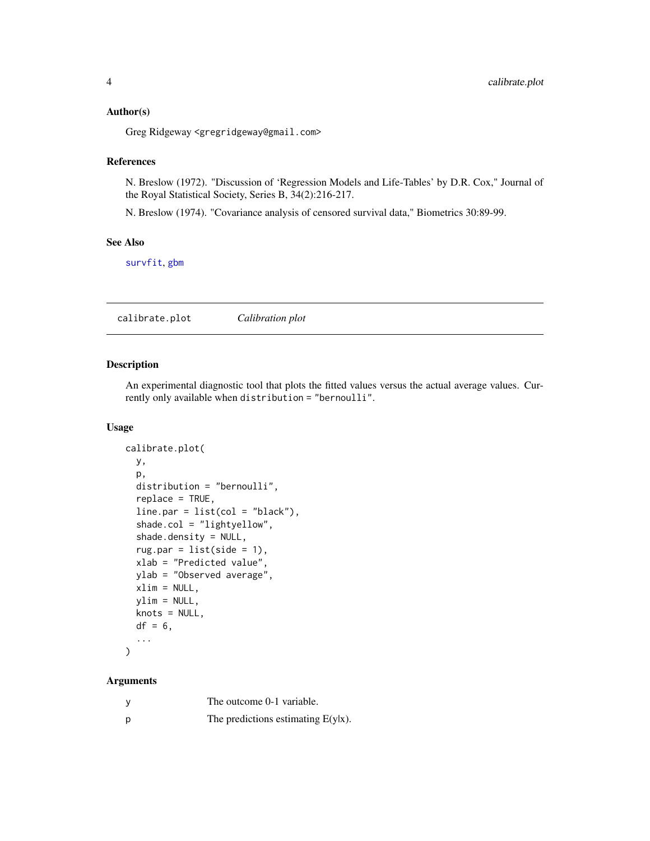#### <span id="page-3-0"></span>Author(s)

Greg Ridgeway <gregridgeway@gmail.com>

#### References

N. Breslow (1972). "Discussion of 'Regression Models and Life-Tables' by D.R. Cox," Journal of the Royal Statistical Society, Series B, 34(2):216-217.

N. Breslow (1974). "Covariance analysis of censored survival data," Biometrics 30:89-99.

# See Also

[survfit](#page-0-0), [gbm](#page-5-1)

calibrate.plot *Calibration plot*

#### Description

An experimental diagnostic tool that plots the fitted values versus the actual average values. Currently only available when distribution = "bernoulli".

#### Usage

```
calibrate.plot(
  y,
 p,
  distribution = "bernoulli",
  replace = TRUE,
  line.par = list(col = "black"),
  shade.col = "lightyellow",
  shade.density = NULL,
  rugpar = list(side = 1),xlab = "Predicted value",
 ylab = "Observed average",
 xlim = NULL,
 ylim = NULL,
  knots = NULL,
  df = 6,
  ...
)
```
#### Arguments

|   | The outcome 0-1 variable.             |
|---|---------------------------------------|
| p | The predictions estimating $E(y x)$ . |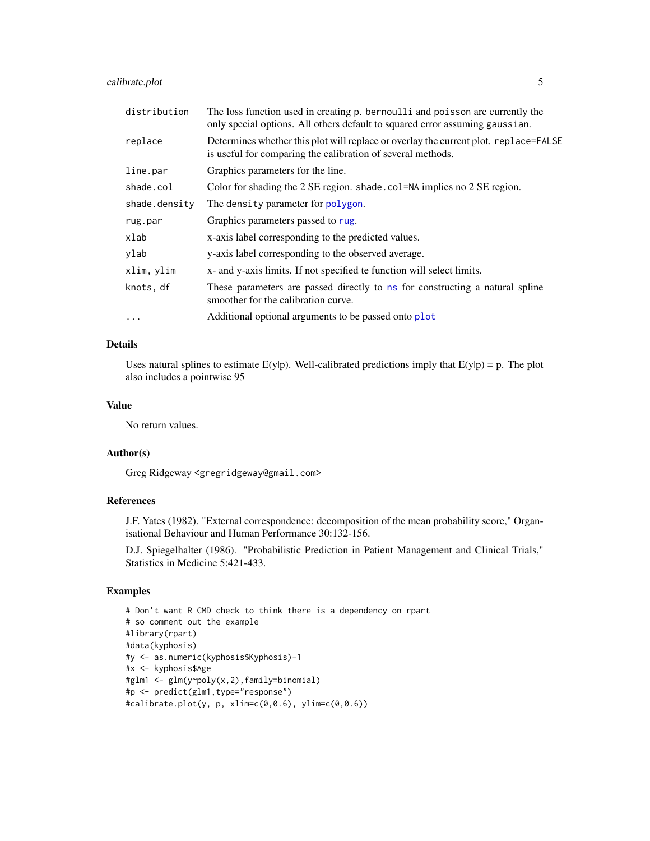# <span id="page-4-0"></span>calibrate.plot 5

| distribution  | The loss function used in creating p. bernoulli and poisson are currently the<br>only special options. All others default to squared error assuming gaussian. |
|---------------|---------------------------------------------------------------------------------------------------------------------------------------------------------------|
| replace       | Determines whether this plot will replace or overlay the current plot. replace=FALSE<br>is useful for comparing the calibration of several methods.           |
| line.par      | Graphics parameters for the line.                                                                                                                             |
| shade.col     | Color for shading the 2 SE region. shade. col=NA implies no 2 SE region.                                                                                      |
| shade.density | The density parameter for polygon.                                                                                                                            |
| rug.par       | Graphics parameters passed to rug.                                                                                                                            |
| xlab          | x-axis label corresponding to the predicted values.                                                                                                           |
| ylab          | y-axis label corresponding to the observed average.                                                                                                           |
| xlim, ylim    | x- and y-axis limits. If not specified te function will select limits.                                                                                        |
| knots, df     | These parameters are passed directly to ns for constructing a natural spline<br>smoother for the calibration curve.                                           |
| $\cdots$      | Additional optional arguments to be passed onto plot                                                                                                          |

# Details

Uses natural splines to estimate  $E(y|p)$ . Well-calibrated predictions imply that  $E(y|p) = p$ . The plot also includes a pointwise 95

# Value

No return values.

# Author(s)

Greg Ridgeway <gregridgeway@gmail.com>

### References

J.F. Yates (1982). "External correspondence: decomposition of the mean probability score," Organisational Behaviour and Human Performance 30:132-156.

D.J. Spiegelhalter (1986). "Probabilistic Prediction in Patient Management and Clinical Trials," Statistics in Medicine 5:421-433.

# Examples

```
# Don't want R CMD check to think there is a dependency on rpart
# so comment out the example
#library(rpart)
#data(kyphosis)
#y <- as.numeric(kyphosis$Kyphosis)-1
#x <- kyphosis$Age
#glm1 <- glm(y~poly(x,2),family=binomial)
#p <- predict(glm1,type="response")
#calibrate.plot(y, p, xlim=c(0,0.6), ylim=c(0,0.6))
```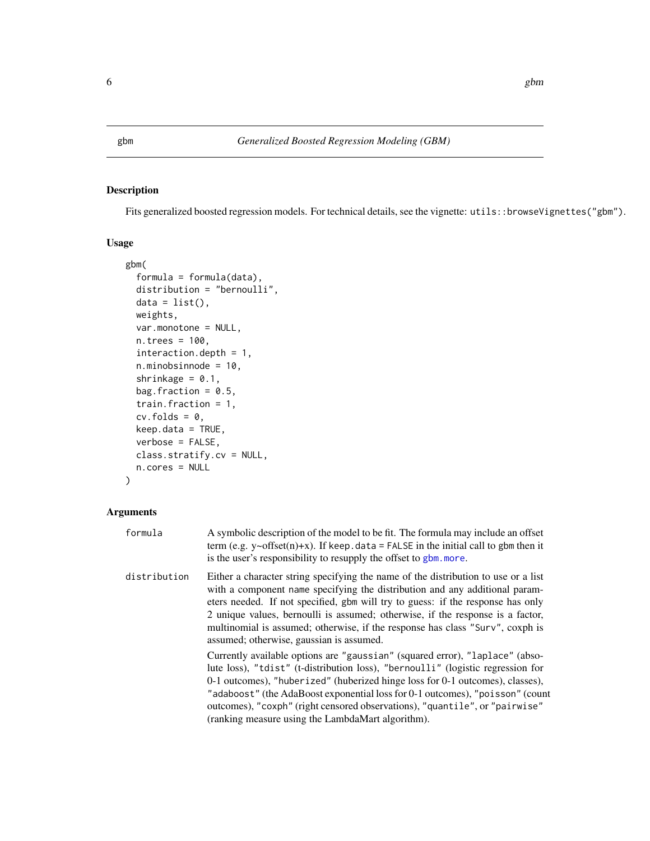<span id="page-5-1"></span><span id="page-5-0"></span>

# Description

Fits generalized boosted regression models. For technical details, see the vignette: utils::browseVignettes("gbm").

#### Usage

```
gbm(
  formula = formula(data),
  distribution = "bernoulli",
  data = list(),
  weights,
  var.monotone = NULL,
  n.trees = 100,
  interaction.depth = 1,
  n.minobsinnode = 10,
  shrinkage = 0.1,
  bag.fraction = 0.5,
  train.fraction = 1,
  cv.folds = 0,
  keep.data = TRUE,
  verbose = FALSE,
  class.stratify.cv = NULL,
  n.cores = NULL
\mathcal{L}
```
# Arguments

| formula      | A symbolic description of the model to be fit. The formula may include an offset<br>term (e.g. $y \sim \text{offset}(n) + x$ ). If keep. data = FALSE in the initial call to gbm then it<br>is the user's responsibility to resupply the offset to gbm. more.                                                                                                                                                                                                                                                                                                                                                                                                                                                                                                                                                                                                                                                                                    |
|--------------|--------------------------------------------------------------------------------------------------------------------------------------------------------------------------------------------------------------------------------------------------------------------------------------------------------------------------------------------------------------------------------------------------------------------------------------------------------------------------------------------------------------------------------------------------------------------------------------------------------------------------------------------------------------------------------------------------------------------------------------------------------------------------------------------------------------------------------------------------------------------------------------------------------------------------------------------------|
| distribution | Either a character string specifying the name of the distribution to use or a list<br>with a component name specifying the distribution and any additional param-<br>eters needed. If not specified, gbm will try to guess: if the response has only<br>2 unique values, bernoulli is assumed; otherwise, if the response is a factor,<br>multinomial is assumed; otherwise, if the response has class "Surv", coxph is<br>assumed; otherwise, gaussian is assumed.<br>Currently available options are "gaussian" (squared error), "laplace" (abso-<br>lute loss), "tdist" (t-distribution loss), "bernoulli" (logistic regression for<br>$0-1$ outcomes), "huberized" (huberized hinge loss for $0-1$ outcomes), classes),<br>"adaboost" (the AdaBoost exponential loss for 0-1 outcomes), "poisson" (count<br>outcomes), "coxph" (right censored observations), "quantile", or "pairwise"<br>(ranking measure using the LambdaMart algorithm). |
|              |                                                                                                                                                                                                                                                                                                                                                                                                                                                                                                                                                                                                                                                                                                                                                                                                                                                                                                                                                  |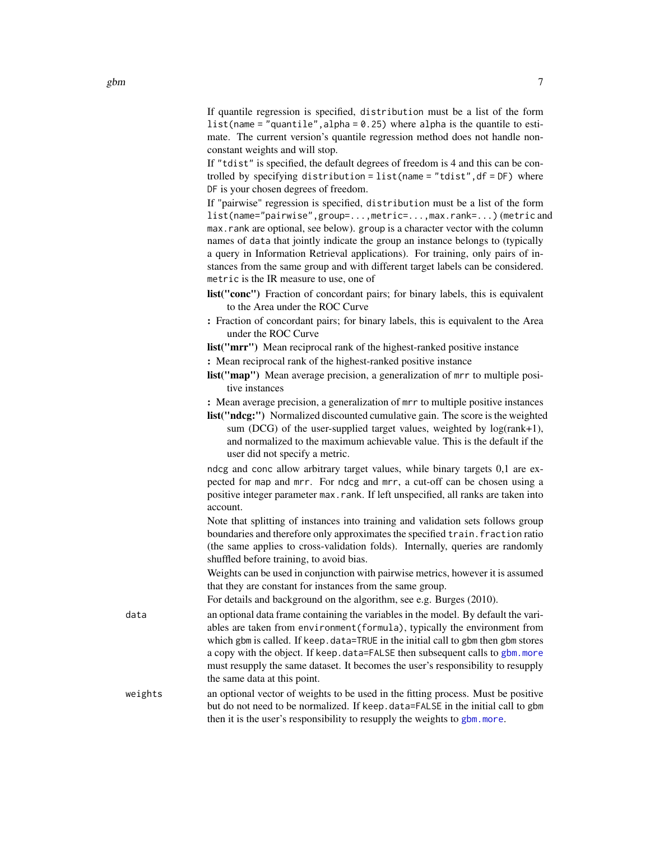If quantile regression is specified, distribution must be a list of the form list(name = "quantile", alpha =  $0.25$ ) where alpha is the quantile to estimate. The current version's quantile regression method does not handle nonconstant weights and will stop.

If "tdist" is specified, the default degrees of freedom is 4 and this can be controlled by specifying distribution =  $list(name = "tdist", df = DF)$  where DF is your chosen degrees of freedom.

If "pairwise" regression is specified, distribution must be a list of the form list(name="pairwise",group=...,metric=...,max.rank=...) (metric and max.rank are optional, see below). group is a character vector with the column names of data that jointly indicate the group an instance belongs to (typically a query in Information Retrieval applications). For training, only pairs of instances from the same group and with different target labels can be considered. metric is the IR measure to use, one of

- list("conc") Fraction of concordant pairs; for binary labels, this is equivalent to the Area under the ROC Curve
- : Fraction of concordant pairs; for binary labels, this is equivalent to the Area under the ROC Curve
- list("mrr") Mean reciprocal rank of the highest-ranked positive instance
- : Mean reciprocal rank of the highest-ranked positive instance
- list("map") Mean average precision, a generalization of mrr to multiple positive instances
- : Mean average precision, a generalization of mrr to multiple positive instances
- list("ndcg:") Normalized discounted cumulative gain. The score is the weighted sum (DCG) of the user-supplied target values, weighted by  $log(rank+1)$ , and normalized to the maximum achievable value. This is the default if the user did not specify a metric.

ndcg and conc allow arbitrary target values, while binary targets 0,1 are expected for map and mrr. For ndcg and mrr, a cut-off can be chosen using a positive integer parameter max.rank. If left unspecified, all ranks are taken into account.

Note that splitting of instances into training and validation sets follows group boundaries and therefore only approximates the specified train.fraction ratio (the same applies to cross-validation folds). Internally, queries are randomly shuffled before training, to avoid bias.

Weights can be used in conjunction with pairwise metrics, however it is assumed that they are constant for instances from the same group.

For details and background on the algorithm, see e.g. Burges (2010).

data an optional data frame containing the variables in the model. By default the variables are taken from environment(formula), typically the environment from which gbm is called. If keep.data=TRUE in the initial call to gbm then gbm stores a copy with the object. If keep.data=FALSE then subsequent calls to [gbm.more](#page-15-1) must resupply the same dataset. It becomes the user's responsibility to resupply the same data at this point.

weights an optional vector of weights to be used in the fitting process. Must be positive but do not need to be normalized. If keep.data=FALSE in the initial call to gbm then it is the user's responsibility to resupply the weights to [gbm.more](#page-15-1).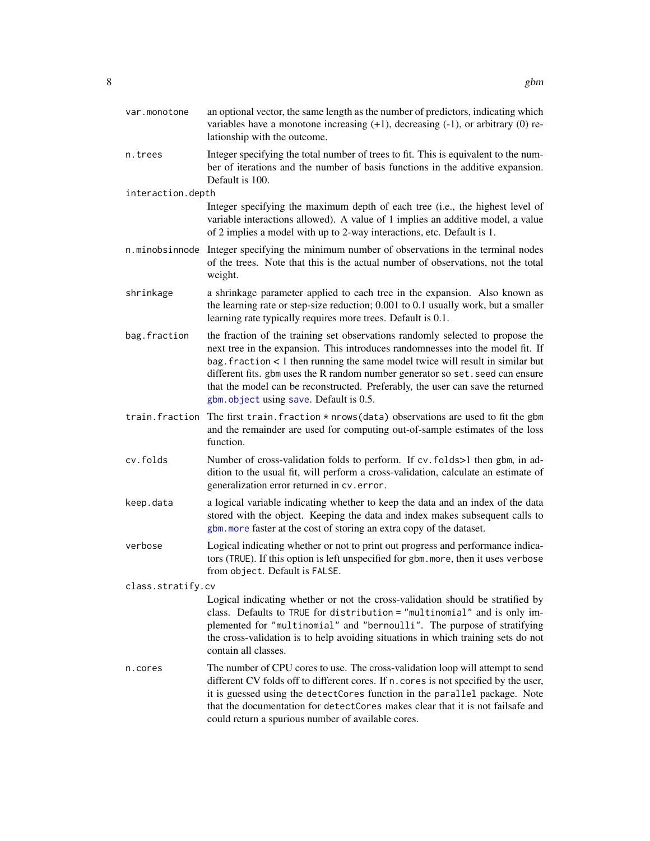<span id="page-7-0"></span>

| var.monotone      | an optional vector, the same length as the number of predictors, indicating which<br>variables have a monotone increasing $(+1)$ , decreasing $(-1)$ , or arbitrary $(0)$ re-<br>lationship with the outcome.                                                                                                                                                                                                                                                         |
|-------------------|-----------------------------------------------------------------------------------------------------------------------------------------------------------------------------------------------------------------------------------------------------------------------------------------------------------------------------------------------------------------------------------------------------------------------------------------------------------------------|
| n.trees           | Integer specifying the total number of trees to fit. This is equivalent to the num-<br>ber of iterations and the number of basis functions in the additive expansion.<br>Default is 100.                                                                                                                                                                                                                                                                              |
| interaction.depth |                                                                                                                                                                                                                                                                                                                                                                                                                                                                       |
|                   | Integer specifying the maximum depth of each tree (i.e., the highest level of<br>variable interactions allowed). A value of 1 implies an additive model, a value<br>of 2 implies a model with up to 2-way interactions, etc. Default is 1.                                                                                                                                                                                                                            |
|                   | n.minobsinnode Integer specifying the minimum number of observations in the terminal nodes<br>of the trees. Note that this is the actual number of observations, not the total<br>weight.                                                                                                                                                                                                                                                                             |
| shrinkage         | a shrinkage parameter applied to each tree in the expansion. Also known as<br>the learning rate or step-size reduction; 0.001 to 0.1 usually work, but a smaller<br>learning rate typically requires more trees. Default is 0.1.                                                                                                                                                                                                                                      |
| bag.fraction      | the fraction of the training set observations randomly selected to propose the<br>next tree in the expansion. This introduces randomnesses into the model fit. If<br>$bag. fraction < 1$ then running the same model twice will result in similar but<br>different fits. gbm uses the R random number generator so set. seed can ensure<br>that the model can be reconstructed. Preferably, the user can save the returned<br>gbm. object using save. Default is 0.5. |
| train.fraction    | The first train. fraction $*$ nrows (data) observations are used to fit the gbm<br>and the remainder are used for computing out-of-sample estimates of the loss<br>function.                                                                                                                                                                                                                                                                                          |
| cv.folds          | Number of cross-validation folds to perform. If cv. folds>1 then gbm, in ad-<br>dition to the usual fit, will perform a cross-validation, calculate an estimate of<br>generalization error returned in cv. error.                                                                                                                                                                                                                                                     |
| keep.data         | a logical variable indicating whether to keep the data and an index of the data<br>stored with the object. Keeping the data and index makes subsequent calls to<br>gbm. more faster at the cost of storing an extra copy of the dataset.                                                                                                                                                                                                                              |
| verbose           | Logical indicating whether or not to print out progress and performance indica-<br>tors (TRUE). If this option is left unspecified for gbm. more, then it uses verbose<br>from object. Default is FALSE.                                                                                                                                                                                                                                                              |
| class.stratify.cv |                                                                                                                                                                                                                                                                                                                                                                                                                                                                       |
|                   | Logical indicating whether or not the cross-validation should be stratified by<br>class. Defaults to TRUE for distribution = "multinomial" and is only im-<br>plemented for "multinomial" and "bernoulli". The purpose of stratifying<br>the cross-validation is to help avoiding situations in which training sets do not<br>contain all classes.                                                                                                                    |
| n.cores           | The number of CPU cores to use. The cross-validation loop will attempt to send<br>different CV folds off to different cores. If n. cores is not specified by the user,<br>it is guessed using the detectCores function in the parallel package. Note<br>that the documentation for detectCores makes clear that it is not failsafe and<br>could return a spurious number of available cores.                                                                          |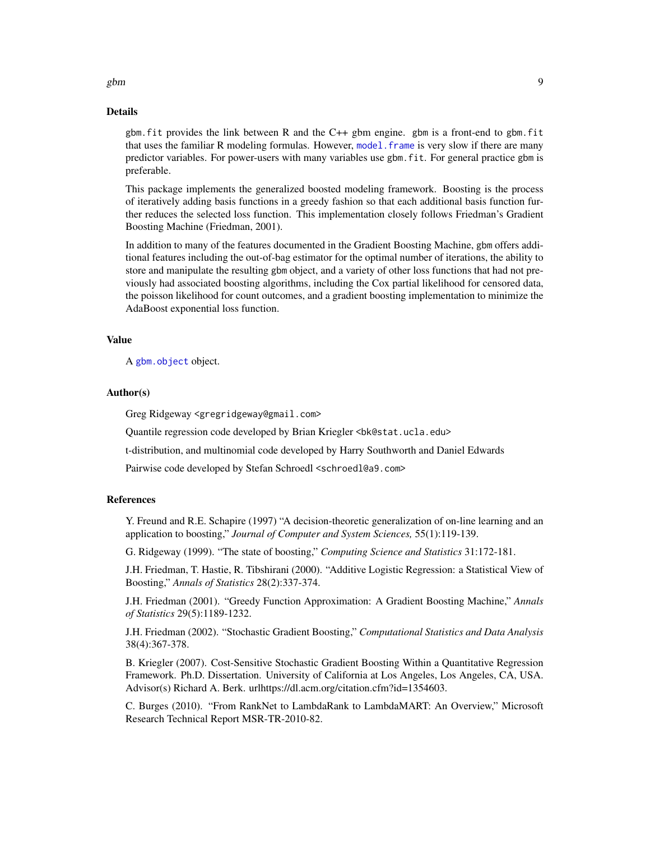#### Details

gbm.fit provides the link between R and the C++ gbm engine. gbm is a front-end to gbm.fit that uses the familiar R modeling formulas. However, [model.frame](#page-0-0) is very slow if there are many predictor variables. For power-users with many variables use gbm.fit. For general practice gbm is preferable.

This package implements the generalized boosted modeling framework. Boosting is the process of iteratively adding basis functions in a greedy fashion so that each additional basis function further reduces the selected loss function. This implementation closely follows Friedman's Gradient Boosting Machine (Friedman, 2001).

In addition to many of the features documented in the Gradient Boosting Machine, gbm offers additional features including the out-of-bag estimator for the optimal number of iterations, the ability to store and manipulate the resulting gbm object, and a variety of other loss functions that had not previously had associated boosting algorithms, including the Cox partial likelihood for censored data, the poisson likelihood for count outcomes, and a gradient boosting implementation to minimize the AdaBoost exponential loss function.

#### Value

A [gbm.object](#page-17-1) object.

#### Author(s)

Greg Ridgeway <gregridgeway@gmail.com>

Quantile regression code developed by Brian Kriegler <br/>bk@stat.ucla.edu>

t-distribution, and multinomial code developed by Harry Southworth and Daniel Edwards

Pairwise code developed by Stefan Schroedl <schroedl@a9.com>

#### References

Y. Freund and R.E. Schapire (1997) "A decision-theoretic generalization of on-line learning and an application to boosting," *Journal of Computer and System Sciences,* 55(1):119-139.

G. Ridgeway (1999). "The state of boosting," *Computing Science and Statistics* 31:172-181.

J.H. Friedman, T. Hastie, R. Tibshirani (2000). "Additive Logistic Regression: a Statistical View of Boosting," *Annals of Statistics* 28(2):337-374.

J.H. Friedman (2001). "Greedy Function Approximation: A Gradient Boosting Machine," *Annals of Statistics* 29(5):1189-1232.

J.H. Friedman (2002). "Stochastic Gradient Boosting," *Computational Statistics and Data Analysis* 38(4):367-378.

B. Kriegler (2007). Cost-Sensitive Stochastic Gradient Boosting Within a Quantitative Regression Framework. Ph.D. Dissertation. University of California at Los Angeles, Los Angeles, CA, USA. Advisor(s) Richard A. Berk. urlhttps://dl.acm.org/citation.cfm?id=1354603.

C. Burges (2010). "From RankNet to LambdaRank to LambdaMART: An Overview," Microsoft Research Technical Report MSR-TR-2010-82.

#### <span id="page-8-0"></span> $g$ bm  $g$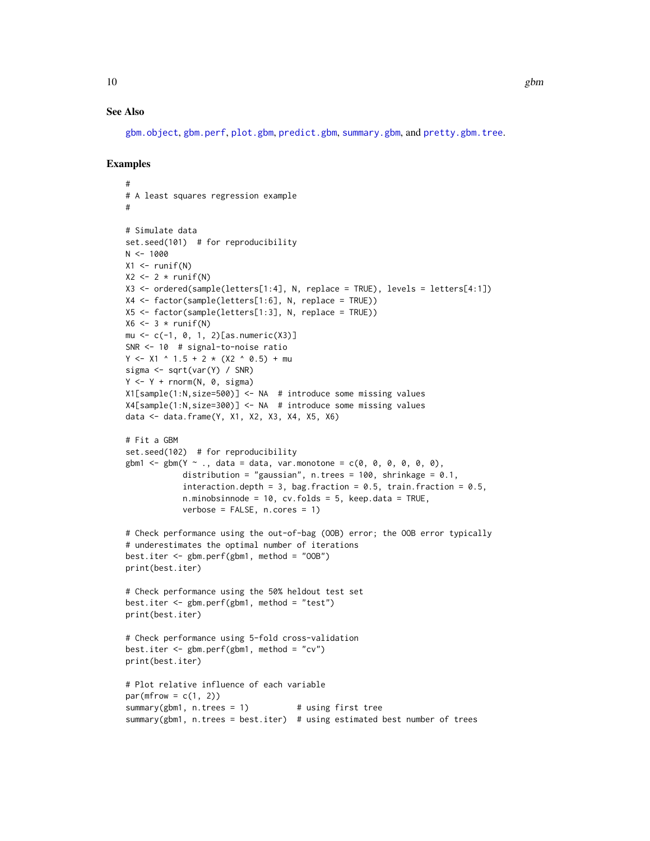#### <span id="page-9-0"></span>See Also

[gbm.object](#page-17-1), [gbm.perf](#page-18-1), [plot.gbm](#page-26-1), [predict.gbm](#page-28-1), [summary.gbm](#page-34-1), and [pretty.gbm.tree](#page-29-1).

# Examples

```
#
# A least squares regression example
#
# Simulate data
set.seed(101) # for reproducibility
N < - 1000X1 \leftarrow runif(N)X2 \leftarrow 2 * runif(N)X3 <- ordered(sample(letters[1:4], N, replace = TRUE), levels = letters[4:1])
X4 \leftarrow factor(sample(letters[1:6], N, replace = TRUE))
X5 <- factor(sample(letters[1:3], N, replace = TRUE))
X6 \leftarrow 3 * runif(N)mu \leftarrow c(-1, 0, 1, 2)[as.numeric(X3)]SNR <- 10 # signal-to-noise ratio
Y <- X1 ^ 1.5 + 2 * (X2 ^ 0.5) + mu
sigma <- sqrt(var(Y) / SNR)
Y \leftarrow Y + \text{norm}(N, \theta, \text{sigma})X1[sample(1:N,size=500)] <- NA # introduce some missing values
X4[sample(1:N,size=300)] <- NA # introduce some missing values
data <- data.frame(Y, X1, X2, X3, X4, X5, X6)
# Fit a GBM
set.seed(102) # for reproducibility
gbm1 \leq gbm(Y \sim ., data = data, var.monotone = c(0, 0, 0, 0, 0, 0),distribution = "gaussian", n.trees = 100, shrinkage = 0.1,
            interaction.depth = 3, bag.fraction = 0.5, train.fraction = 0.5,
            n.minobsinnode = 10, cv.folds = 5, keep.data = TRUE,
            verbose = FALSE, n.cores = 1)
# Check performance using the out-of-bag (OOB) error; the OOB error typically
# underestimates the optimal number of iterations
best.iter \leq gbm.perf(gbm1, method = "00B")
print(best.iter)
# Check performance using the 50% heldout test set
best.iter <- gbm.perf(gbm1, method = "test")
print(best.iter)
# Check performance using 5-fold cross-validation
best.iter <- gbm.perf(gbm1, method = "cv")
print(best.iter)
# Plot relative influence of each variable
par(mfrow = c(1, 2))summary(gbm1, n.trees = 1) # using first tree
summary(gbm1, n.trees = best.iter) # using estimated best number of trees
```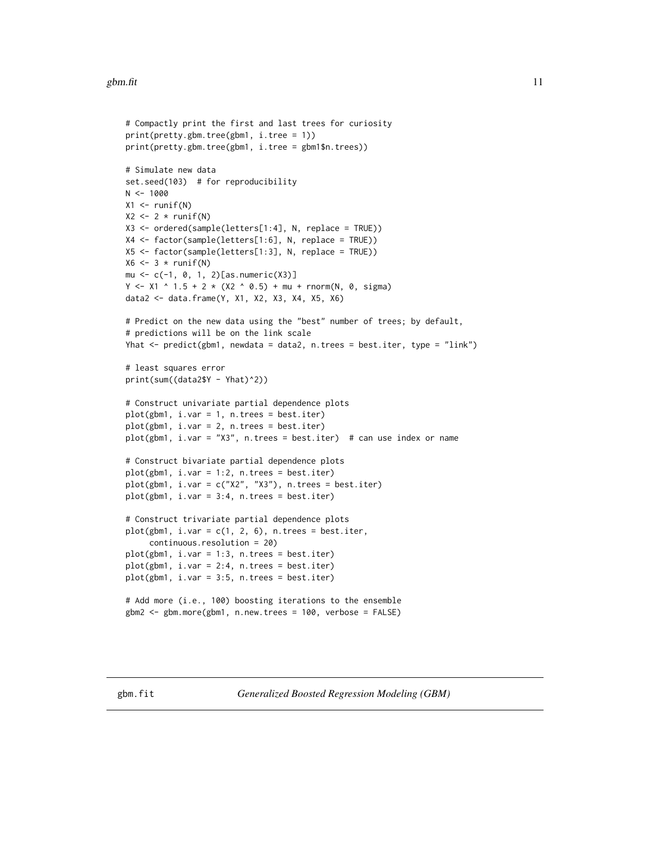#### <span id="page-10-0"></span>gbm.fit  $\qquad \qquad$  11

```
# Compactly print the first and last trees for curiosity
print(pretty.gbm.tree(gbm1, i.tree = 1))
print(pretty.gbm.tree(gbm1, i.tree = gbm1$n.trees))
# Simulate new data
set.seed(103) # for reproducibility
N < - 1000X1 <- runif(N)
X2 \leftarrow 2 * runif(N)X3 <- ordered(sample(letters[1:4], N, replace = TRUE))
X4 <- factor(sample(letters[1:6], N, replace = TRUE))
X5 <- factor(sample(letters[1:3], N, replace = TRUE))
X6 \leftarrow 3 * runif(N)mu \leq -c(-1, 0, 1, 2) [as.numeric(X3)]
Y \le -X1 ^ 1.5 + 2 * (X2 ^ 0.5) + mu + rnorm(N, 0, sigma)
data2 <- data.frame(Y, X1, X2, X3, X4, X5, X6)
# Predict on the new data using the "best" number of trees; by default,
# predictions will be on the link scale
Yhat <- predict(gbm1, newdata = data2, n.trees = best.iter, type = "link")
# least squares error
print(sum((data2$Y - Yhat)^2))
# Construct univariate partial dependence plots
plot(gbm1, i.var = 1, n.trees = best.iter)
plot(gbm1, i.var = 2, n.trees = best.iter)
plot(gbm1, i.var = "X3", n.trees = best.iter) # can use index or name
# Construct bivariate partial dependence plots
plot(gbm1, i.var = 1:2, n.trees = best.iter)
plot(gbm1, i-var = c("X2", "X3"), n.trees = best.iter)plot(gbm1, i.var = 3:4, n.trees = best.iter)
# Construct trivariate partial dependence plots
plot(gbm1, i-var = c(1, 2, 6), n.trees = best.iter,continuous.resolution = 20)
plot(gbm1, i.var = 1:3, n.trees = best.iter)
plot(gbm1, i.var = 2:4, n.trees = best.iter)plot(gbm1, i.var = 3:5, n.trees = best.iter)
# Add more (i.e., 100) boosting iterations to the ensemble
gbm2 <- gbm.more(gbm1, n.new.trees = 100, verbose = FALSE)
```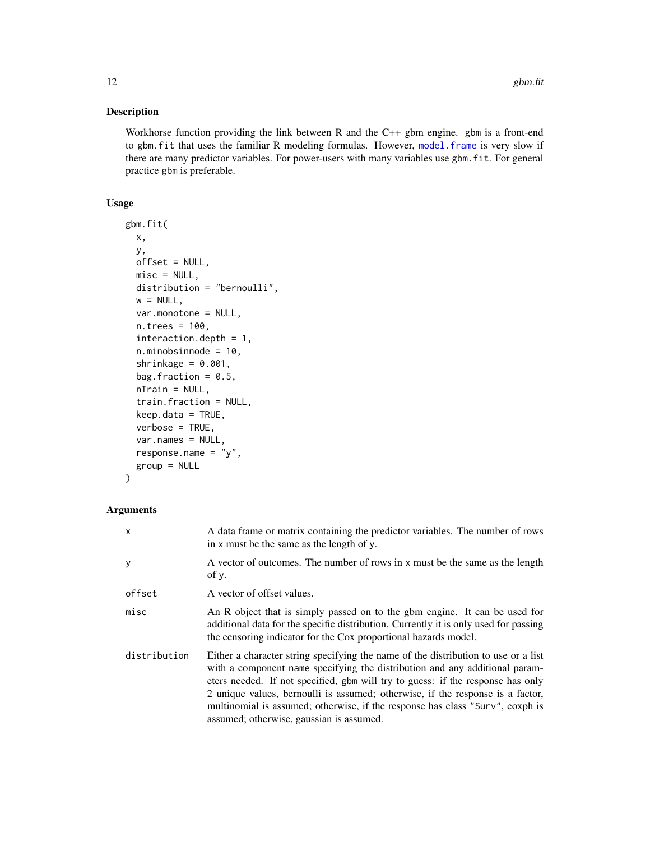# <span id="page-11-0"></span>Description

Workhorse function providing the link between R and the C++ gbm engine. gbm is a front-end to gbm.fit that uses the familiar R modeling formulas. However, [model.frame](#page-0-0) is very slow if there are many predictor variables. For power-users with many variables use gbm.fit. For general practice gbm is preferable.

# Usage

```
gbm.fit(
 x,
 y,
 offset = NULL,
 misc = NULL,
 distribution = "bernoulli",
 w = NULL,
  var.monotone = NULL,
 n.trees = 100,
  interaction.depth = 1,
 n.minobsinnode = 10,
  shrinkage = 0.001,
 bag.fraction = 0.5,
  nTrain = NULL,train.fraction = NULL,
  keep.data = TRUE,verbose = TRUE,
 var.names = NULL,
  response.name = "y",
  group = NULL
)
```
#### Arguments

| x            | A data frame or matrix containing the predictor variables. The number of rows<br>in x must be the same as the length of y.                                                                                                                                                                                                                                                                                                                                          |
|--------------|---------------------------------------------------------------------------------------------------------------------------------------------------------------------------------------------------------------------------------------------------------------------------------------------------------------------------------------------------------------------------------------------------------------------------------------------------------------------|
| ٧            | A vector of outcomes. The number of rows in x must be the same as the length<br>of $v$ .                                                                                                                                                                                                                                                                                                                                                                            |
| offset       | A vector of offset values.                                                                                                                                                                                                                                                                                                                                                                                                                                          |
| misc         | An R object that is simply passed on to the gbm engine. It can be used for<br>additional data for the specific distribution. Currently it is only used for passing<br>the censoring indicator for the Cox proportional hazards model.                                                                                                                                                                                                                               |
| distribution | Either a character string specifying the name of the distribution to use or a list<br>with a component name specifying the distribution and any additional param-<br>eters needed. If not specified, gbm will try to guess: if the response has only<br>2 unique values, bernoulli is assumed; otherwise, if the response is a factor,<br>multinomial is assumed; otherwise, if the response has class "Surv", coxph is<br>assumed; otherwise, gaussian is assumed. |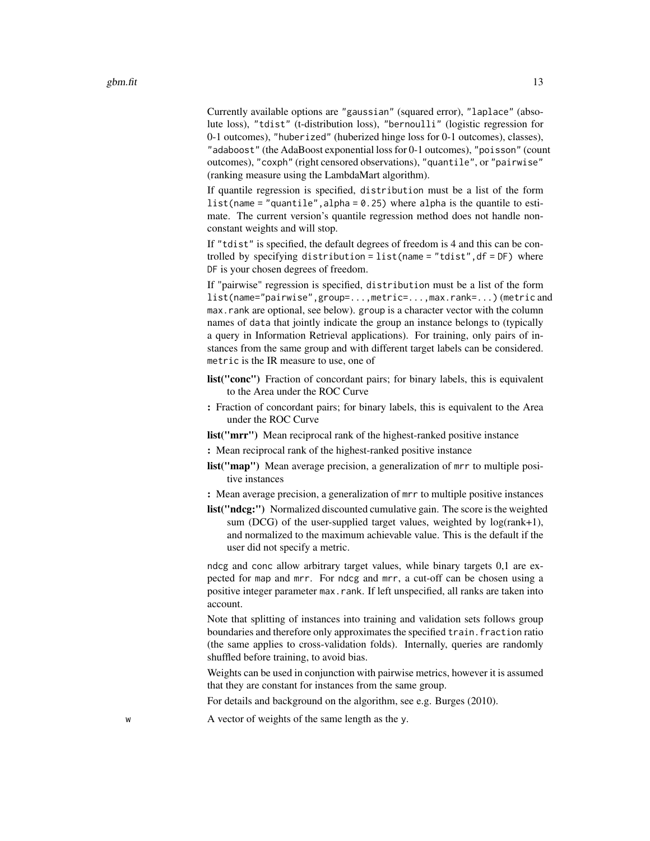Currently available options are "gaussian" (squared error), "laplace" (absolute loss), "tdist" (t-distribution loss), "bernoulli" (logistic regression for 0-1 outcomes), "huberized" (huberized hinge loss for 0-1 outcomes), classes), "adaboost" (the AdaBoost exponential loss for 0-1 outcomes), "poisson" (count outcomes), "coxph" (right censored observations), "quantile", or "pairwise" (ranking measure using the LambdaMart algorithm).

If quantile regression is specified, distribution must be a list of the form list(name = "quantile", alpha =  $0.25$ ) where alpha is the quantile to estimate. The current version's quantile regression method does not handle nonconstant weights and will stop.

If "tdist" is specified, the default degrees of freedom is 4 and this can be controlled by specifying distribution =  $list(name = "tdist", df = DF)$  where DF is your chosen degrees of freedom.

If "pairwise" regression is specified, distribution must be a list of the form list(name="pairwise",group=...,metric=...,max.rank=...) (metric and max.rank are optional, see below). group is a character vector with the column names of data that jointly indicate the group an instance belongs to (typically a query in Information Retrieval applications). For training, only pairs of instances from the same group and with different target labels can be considered. metric is the IR measure to use, one of

- list("conc") Fraction of concordant pairs; for binary labels, this is equivalent to the Area under the ROC Curve
- : Fraction of concordant pairs; for binary labels, this is equivalent to the Area under the ROC Curve

list("mrr") Mean reciprocal rank of the highest-ranked positive instance

: Mean reciprocal rank of the highest-ranked positive instance

- list("map") Mean average precision, a generalization of mrr to multiple positive instances
- : Mean average precision, a generalization of mrr to multiple positive instances
- list("ndcg:") Normalized discounted cumulative gain. The score is the weighted sum (DCG) of the user-supplied target values, weighted by log(rank+1), and normalized to the maximum achievable value. This is the default if the user did not specify a metric.

ndcg and conc allow arbitrary target values, while binary targets 0,1 are expected for map and mrr. For ndcg and mrr, a cut-off can be chosen using a positive integer parameter max.rank. If left unspecified, all ranks are taken into account.

Note that splitting of instances into training and validation sets follows group boundaries and therefore only approximates the specified train. fraction ratio (the same applies to cross-validation folds). Internally, queries are randomly shuffled before training, to avoid bias.

Weights can be used in conjunction with pairwise metrics, however it is assumed that they are constant for instances from the same group.

For details and background on the algorithm, see e.g. Burges (2010).

w A vector of weights of the same length as the y.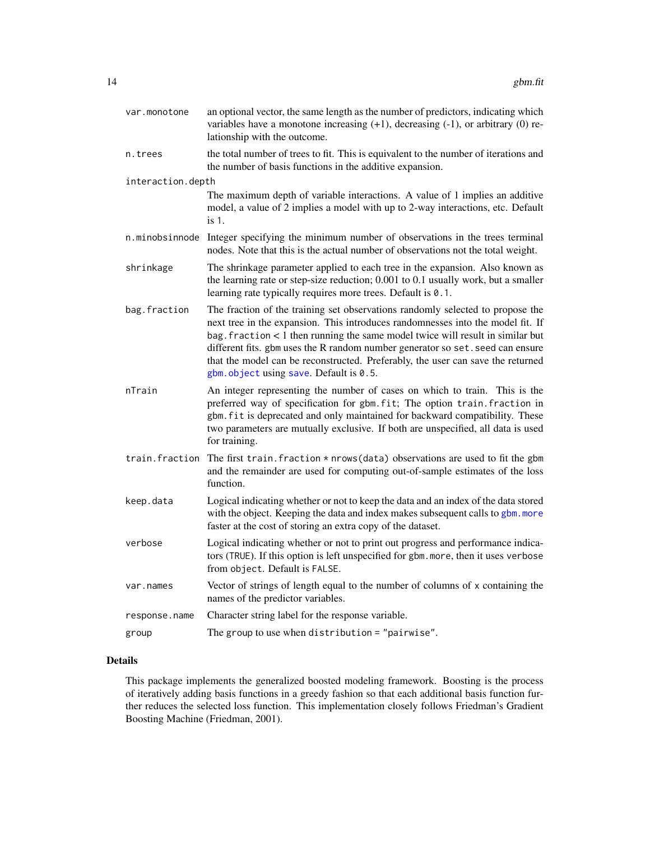<span id="page-13-0"></span>

| var.monotone      | an optional vector, the same length as the number of predictors, indicating which<br>variables have a monotone increasing $(+1)$ , decreasing $(-1)$ , or arbitrary $(0)$ re-<br>lationship with the outcome.                                                                                                                                                                                                                                                       |
|-------------------|---------------------------------------------------------------------------------------------------------------------------------------------------------------------------------------------------------------------------------------------------------------------------------------------------------------------------------------------------------------------------------------------------------------------------------------------------------------------|
| n.trees           | the total number of trees to fit. This is equivalent to the number of iterations and<br>the number of basis functions in the additive expansion.                                                                                                                                                                                                                                                                                                                    |
| interaction.depth |                                                                                                                                                                                                                                                                                                                                                                                                                                                                     |
|                   | The maximum depth of variable interactions. A value of 1 implies an additive<br>model, a value of 2 implies a model with up to 2-way interactions, etc. Default<br>is 1.                                                                                                                                                                                                                                                                                            |
| n.minobsinnode    | Integer specifying the minimum number of observations in the trees terminal<br>nodes. Note that this is the actual number of observations not the total weight.                                                                                                                                                                                                                                                                                                     |
| shrinkage         | The shrinkage parameter applied to each tree in the expansion. Also known as<br>the learning rate or step-size reduction; 0.001 to 0.1 usually work, but a smaller<br>learning rate typically requires more trees. Default is 0.1.                                                                                                                                                                                                                                  |
| bag.fraction      | The fraction of the training set observations randomly selected to propose the<br>next tree in the expansion. This introduces randomnesses into the model fit. If<br>bag. fraction < 1 then running the same model twice will result in similar but<br>different fits. gbm uses the R random number generator so set. seed can ensure<br>that the model can be reconstructed. Preferably, the user can save the returned<br>gbm. object using save. Default is 0.5. |
| nTrain            | An integer representing the number of cases on which to train. This is the<br>preferred way of specification for gbm.fit; The option train.fraction in<br>gbm. fit is deprecated and only maintained for backward compatibility. These<br>two parameters are mutually exclusive. If both are unspecified, all data is used<br>for training.                                                                                                                         |
| train.fraction    | The first train. fraction $*$ nrows (data) observations are used to fit the gbm<br>and the remainder are used for computing out-of-sample estimates of the loss<br>function.                                                                                                                                                                                                                                                                                        |
| keep.data         | Logical indicating whether or not to keep the data and an index of the data stored<br>with the object. Keeping the data and index makes subsequent calls to gbm. more<br>faster at the cost of storing an extra copy of the dataset.                                                                                                                                                                                                                                |
| verbose           | Logical indicating whether or not to print out progress and performance indica-<br>tors (TRUE). If this option is left unspecified for gbm. more, then it uses verbose<br>from object. Default is FALSE.                                                                                                                                                                                                                                                            |
| var.names         | Vector of strings of length equal to the number of columns of x containing the<br>names of the predictor variables.                                                                                                                                                                                                                                                                                                                                                 |
| response.name     | Character string label for the response variable.                                                                                                                                                                                                                                                                                                                                                                                                                   |
| group             | The group to use when distribution = "pairwise".                                                                                                                                                                                                                                                                                                                                                                                                                    |

# Details

This package implements the generalized boosted modeling framework. Boosting is the process of iteratively adding basis functions in a greedy fashion so that each additional basis function further reduces the selected loss function. This implementation closely follows Friedman's Gradient Boosting Machine (Friedman, 2001).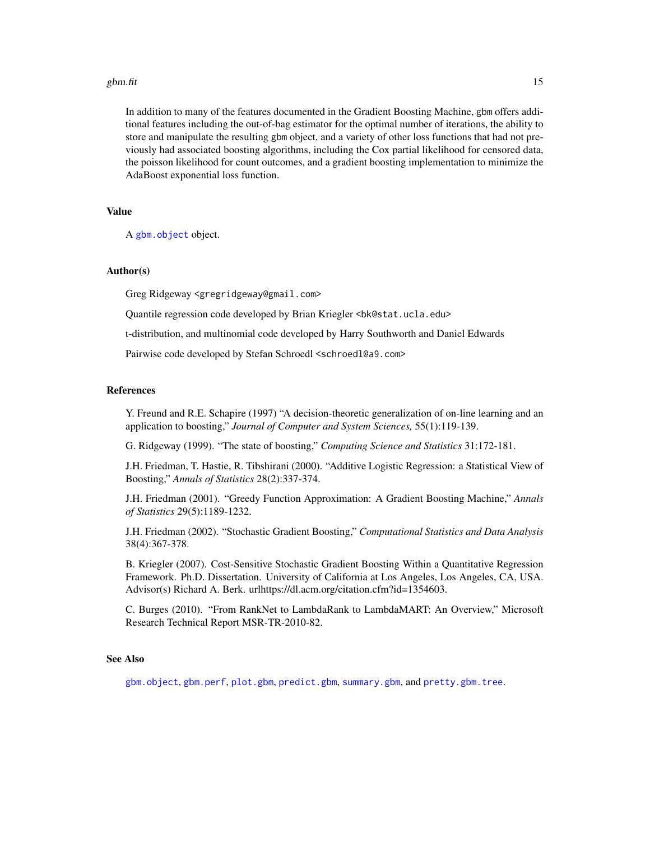#### <span id="page-14-0"></span>gbm.fit  $15$

In addition to many of the features documented in the Gradient Boosting Machine, gbm offers additional features including the out-of-bag estimator for the optimal number of iterations, the ability to store and manipulate the resulting gbm object, and a variety of other loss functions that had not previously had associated boosting algorithms, including the Cox partial likelihood for censored data, the poisson likelihood for count outcomes, and a gradient boosting implementation to minimize the AdaBoost exponential loss function.

# Value

A [gbm.object](#page-17-1) object.

#### Author(s)

Greg Ridgeway <gregridgeway@gmail.com>

Quantile regression code developed by Brian Kriegler <br/>bk@stat.ucla.edu>

t-distribution, and multinomial code developed by Harry Southworth and Daniel Edwards

Pairwise code developed by Stefan Schroedl <schroedl@a9.com>

### References

Y. Freund and R.E. Schapire (1997) "A decision-theoretic generalization of on-line learning and an application to boosting," *Journal of Computer and System Sciences,* 55(1):119-139.

G. Ridgeway (1999). "The state of boosting," *Computing Science and Statistics* 31:172-181.

J.H. Friedman, T. Hastie, R. Tibshirani (2000). "Additive Logistic Regression: a Statistical View of Boosting," *Annals of Statistics* 28(2):337-374.

J.H. Friedman (2001). "Greedy Function Approximation: A Gradient Boosting Machine," *Annals of Statistics* 29(5):1189-1232.

J.H. Friedman (2002). "Stochastic Gradient Boosting," *Computational Statistics and Data Analysis* 38(4):367-378.

B. Kriegler (2007). Cost-Sensitive Stochastic Gradient Boosting Within a Quantitative Regression Framework. Ph.D. Dissertation. University of California at Los Angeles, Los Angeles, CA, USA. Advisor(s) Richard A. Berk. urlhttps://dl.acm.org/citation.cfm?id=1354603.

C. Burges (2010). "From RankNet to LambdaRank to LambdaMART: An Overview," Microsoft Research Technical Report MSR-TR-2010-82.

# See Also

[gbm.object](#page-17-1), [gbm.perf](#page-18-1), [plot.gbm](#page-26-1), [predict.gbm](#page-28-1), [summary.gbm](#page-34-1), and [pretty.gbm.tree](#page-29-1).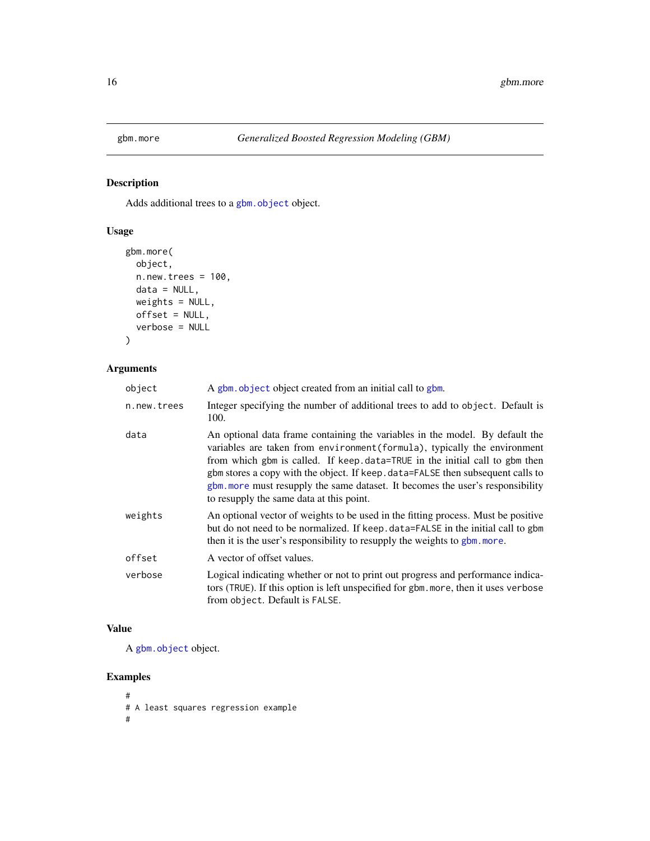<span id="page-15-1"></span><span id="page-15-0"></span>

# Description

Adds additional trees to a [gbm.object](#page-17-1) object.

# Usage

```
gbm.more(
 object,
 n.new.trees = 100,
 data = NULL,
 weights = NULL,
 offset = NULL,
  verbose = NULL
)
```
# Arguments

| object      | A gbm, object object created from an initial call to gbm.                                                                                                                                                                                                                                                                                                                                                                                                |
|-------------|----------------------------------------------------------------------------------------------------------------------------------------------------------------------------------------------------------------------------------------------------------------------------------------------------------------------------------------------------------------------------------------------------------------------------------------------------------|
| n.new.trees | Integer specifying the number of additional trees to add to object. Default is<br>100.                                                                                                                                                                                                                                                                                                                                                                   |
| data        | An optional data frame containing the variables in the model. By default the<br>variables are taken from environment (formula), typically the environment<br>from which gbm is called. If keep.data=TRUE in the initial call to gbm then<br>gbm stores a copy with the object. If keep data=FALSE then subsequent calls to<br>gbm, more must resupply the same dataset. It becomes the user's responsibility<br>to resupply the same data at this point. |
| weights     | An optional vector of weights to be used in the fitting process. Must be positive<br>but do not need to be normalized. If keep data=FALSE in the initial call to gbm<br>then it is the user's responsibility to resupply the weights to gbm. more.                                                                                                                                                                                                       |
| offset      | A vector of offset values.                                                                                                                                                                                                                                                                                                                                                                                                                               |
| verbose     | Logical indicating whether or not to print out progress and performance indica-<br>tors (TRUE). If this option is left unspecified for gbm. more, then it uses verbose<br>from object. Default is FALSE.                                                                                                                                                                                                                                                 |

# Value

A [gbm.object](#page-17-1) object.

# Examples

# # A least squares regression example #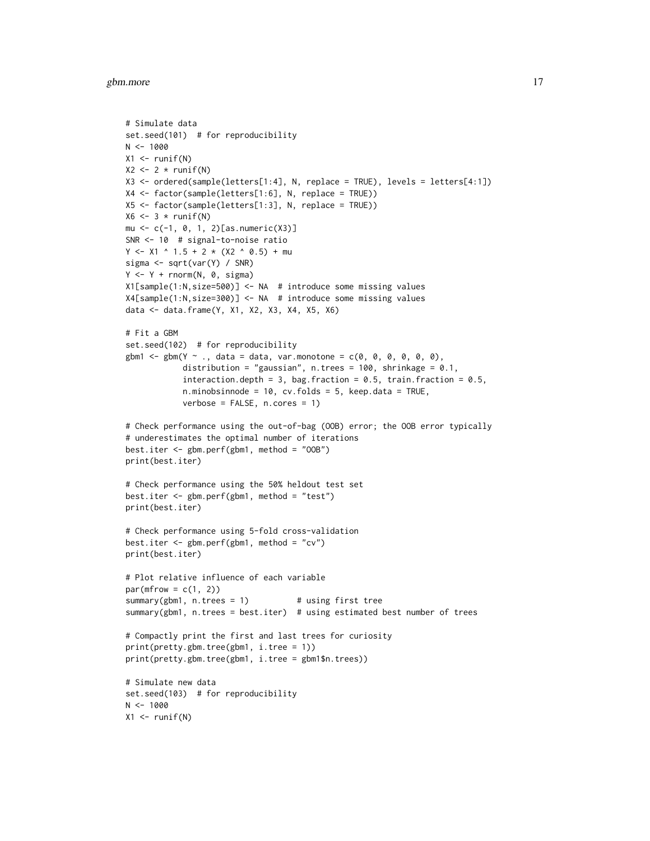#### gbm.more and the state of the state of the state of the state of the state of the state of the state of the state of the state of the state of the state of the state of the state of the state of the state of the state of t

```
# Simulate data
set.seed(101) # for reproducibility
N < - 1000X1 \leftarrow runif(N)X2 \leftarrow 2 * runif(N)X3 <- ordered(sample(letters[1:4], N, replace = TRUE), levels = letters[4:1])
X4 <- factor(sample(letters[1:6], N, replace = TRUE))
X5 <- factor(sample(letters[1:3], N, replace = TRUE))
X6 \leftarrow 3 * runif(N)mu \leftarrow c(-1, 0, 1, 2)[as.numeric(X3)]SNR <- 10 # signal-to-noise ratio
Y <- X1 ^ 1.5 + 2 * (X2 ^ 0.5) + mu
sigma <- sqrt(var(Y) / SNR)
Y \leftarrow Y + \text{norm}(N, 0, \text{sigma})X1[sample(1:N,size=500)] <- NA # introduce some missing values
X4[sample(1:N,size=300)] <- NA # introduce some missing values
data <- data.frame(Y, X1, X2, X3, X4, X5, X6)
# Fit a GBM
set.seed(102) # for reproducibility
gbm1 \leq -gbm(Y \sim ., data = data, var.monotone = c(0, 0, 0, 0, 0, 0),distribution = "gaussian", n.trees = 100, shrinkage = 0.1,
            interaction.depth = 3, bag.fraction = 0.5, train.fraction = 0.5,
            n.minobsinnode = 10, cv.folds = 5, keep.data = TRUE,
            verbose = FALSE, n.cores = 1)
# Check performance using the out-of-bag (OOB) error; the OOB error typically
# underestimates the optimal number of iterations
best.iter <- gbm.perf(gbm1, method = "OOB")
print(best.iter)
# Check performance using the 50% heldout test set
best.iter <- gbm.perf(gbm1, method = "test")
print(best.iter)
# Check performance using 5-fold cross-validation
best.iter <- gbm.perf(gbm1, method = "cv")
print(best.iter)
# Plot relative influence of each variable
par(mfrow = c(1, 2))summary(gbm1, n.trees = 1) # using first tree
summary(gbm1, n.trees = best.iter) # using estimated best number of trees
# Compactly print the first and last trees for curiosity
print(pretty.gbm.tree(gbm1, i.tree = 1))
print(pretty.gbm.tree(gbm1, i.tree = gbm1$n.trees))
# Simulate new data
set.seed(103) # for reproducibility
N < - 1000X1 \leftarrow runif(N)
```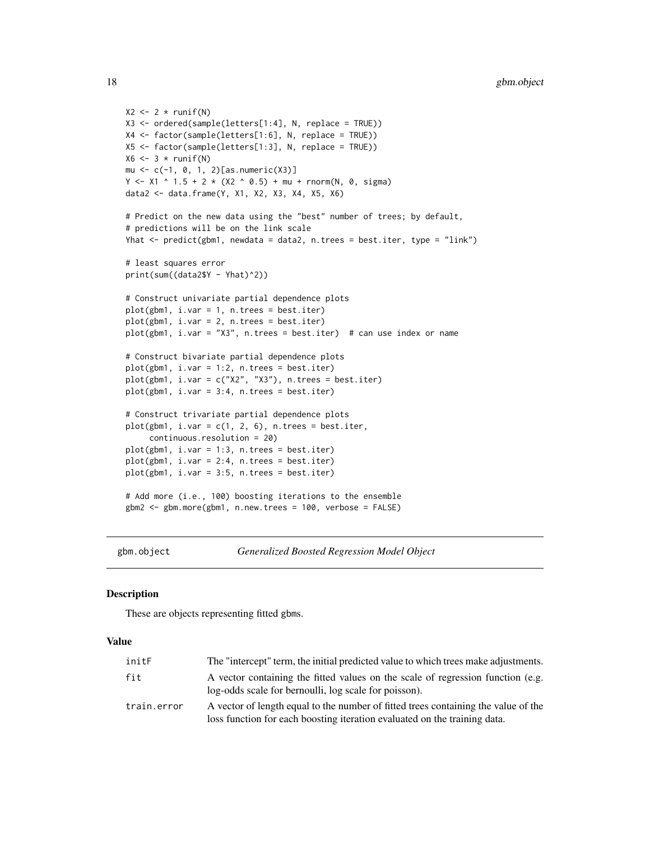```
X2 \leftarrow 2 * runif(N)X3 <- ordered(sample(letters[1:4], N, replace = TRUE))
X4 <- factor(sample(letters[1:6], N, replace = TRUE))
X5 <- factor(sample(letters[1:3], N, replace = TRUE))
X6 \leftarrow 3 * runif(N)mu \leftarrow c(-1, 0, 1, 2)[as.numeric(X3)]Y \le -X1 ^ 1.5 + 2 * (X2 ^ 0.5) + mu + rnorm(N, 0, sigma)
data2 <- data.frame(Y, X1, X2, X3, X4, X5, X6)
# Predict on the new data using the "best" number of trees; by default,
# predictions will be on the link scale
Yhat <- predict(gbm1, newdata = data2, n.trees = best.iter, type = "link")
# least squares error
print(sum((data2$Y - Yhat)^2))
# Construct univariate partial dependence plots
plot(gbm1, i.var = 1, n.trees = best.iter)
plot(gbm1, i.var = 2, n.trees = best.iter)
plot(gbm1, i-var = "X3", n.trees = best.iter) # can use index or name# Construct bivariate partial dependence plots
plot(gbm1, i.var = 1:2, n.trees = best.iter)
plot(gbm1, i.var = c("X2", "X3"), n.trees = best.iter)
plot(gbm1, i.var = 3:4, n.trees = best.iter)
# Construct trivariate partial dependence plots
plot(gbm1, i-var = c(1, 2, 6), n.trees = best.iter,continuous.resolution = 20)
plot(gbm1, i.var = 1:3, n.trees = best.iter)
plot(gbm1, i.var = 2:4, n.trees = best.iter)
plot(gbm1, i.var = 3:5, n.trees = best.iter)# Add more (i.e., 100) boosting iterations to the ensemble
gbm2 <- gbm.more(gbm1, n.new.trees = 100, verbose = FALSE)
```
<span id="page-17-1"></span>

gbm.object *Generalized Boosted Regression Model Object*

#### **Description**

These are objects representing fitted gbms.

#### Value

| initF       | The "intercept" term, the initial predicted value to which trees make adjustments.                                                                              |
|-------------|-----------------------------------------------------------------------------------------------------------------------------------------------------------------|
| fit         | A vector containing the fitted values on the scale of regression function (e.g.<br>log-odds scale for bernoulli, log scale for poisson).                        |
| train.error | A vector of length equal to the number of fitted trees containing the value of the<br>loss function for each boosting iteration evaluated on the training data. |

<span id="page-17-0"></span>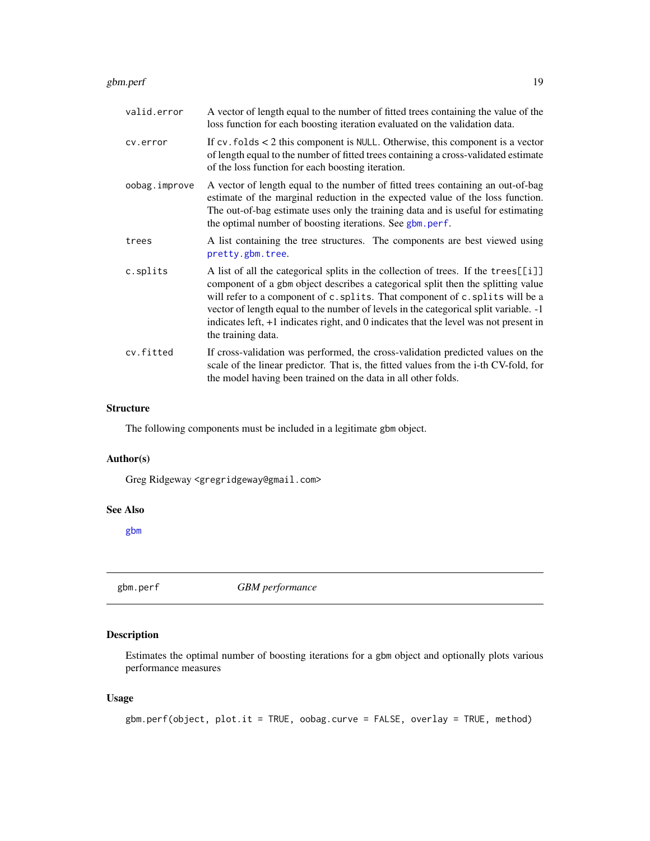#### <span id="page-18-0"></span>gbm.perf 19

| valid.error   | A vector of length equal to the number of fitted trees containing the value of the<br>loss function for each boosting iteration evaluated on the validation data.                                                                                                                                                                                                                                                                                              |
|---------------|----------------------------------------------------------------------------------------------------------------------------------------------------------------------------------------------------------------------------------------------------------------------------------------------------------------------------------------------------------------------------------------------------------------------------------------------------------------|
| cv.error      | If $cv$ . folds $< 2$ this component is NULL. Otherwise, this component is a vector<br>of length equal to the number of fitted trees containing a cross-validated estimate<br>of the loss function for each boosting iteration.                                                                                                                                                                                                                                |
| oobag.improve | A vector of length equal to the number of fitted trees containing an out-of-bag<br>estimate of the marginal reduction in the expected value of the loss function.<br>The out-of-bag estimate uses only the training data and is useful for estimating<br>the optimal number of boosting iterations. See gbm. perf.                                                                                                                                             |
| trees         | A list containing the tree structures. The components are best viewed using<br>pretty.gbm.tree.                                                                                                                                                                                                                                                                                                                                                                |
| c.splits      | A list of all the categorical splits in the collection of trees. If the trees[[i]]<br>component of a gbm object describes a categorical split then the splitting value<br>will refer to a component of c. splits. That component of c. splits will be a<br>vector of length equal to the number of levels in the categorical split variable. -1<br>indicates left, +1 indicates right, and 0 indicates that the level was not present in<br>the training data. |
| cv.fitted     | If cross-validation was performed, the cross-validation predicted values on the<br>scale of the linear predictor. That is, the fitted values from the i-th CV-fold, for<br>the model having been trained on the data in all other folds.                                                                                                                                                                                                                       |

#### Structure

The following components must be included in a legitimate gbm object.

#### Author(s)

Greg Ridgeway <gregridgeway@gmail.com>

#### See Also

[gbm](#page-5-1)

<span id="page-18-1"></span>gbm.perf *GBM performance*

# Description

Estimates the optimal number of boosting iterations for a gbm object and optionally plots various performance measures

# Usage

gbm.perf(object, plot.it = TRUE, oobag.curve = FALSE, overlay = TRUE, method)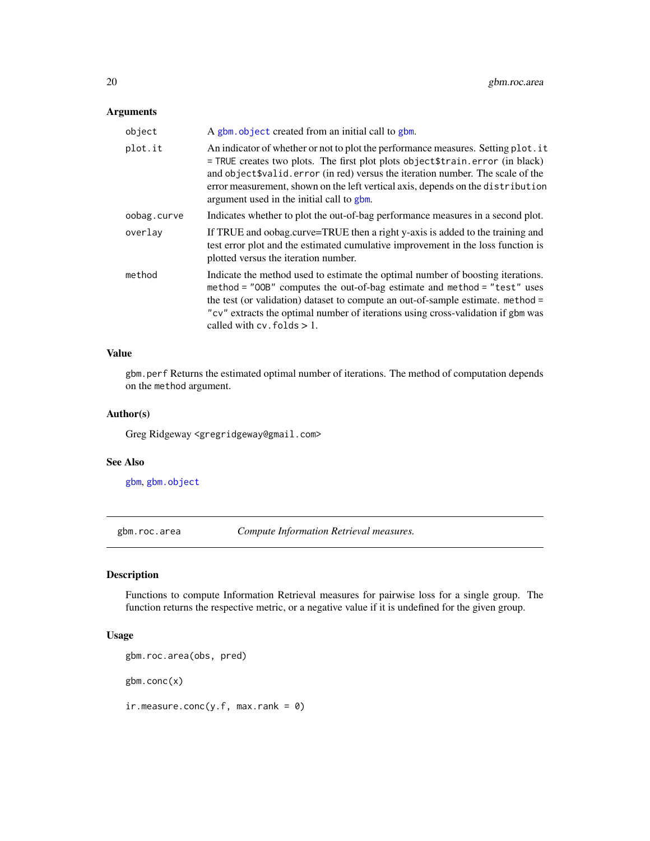# <span id="page-19-0"></span>Arguments

| object      | A gbm object created from an initial call to gbm.                                                                                                                                                                                                                                                                                                                                       |
|-------------|-----------------------------------------------------------------------------------------------------------------------------------------------------------------------------------------------------------------------------------------------------------------------------------------------------------------------------------------------------------------------------------------|
| plot.it     | An indicator of whether or not to plot the performance measures. Setting plot. it<br>= TRUE creates two plots. The first plot plots object \$train.error (in black)<br>and object \$valid. error (in red) versus the iteration number. The scale of the<br>error measurement, shown on the left vertical axis, depends on the distribution<br>argument used in the initial call to gbm. |
| oobag.curve | Indicates whether to plot the out-of-bag performance measures in a second plot.                                                                                                                                                                                                                                                                                                         |
| overlav     | If TRUE and oobag.curve=TRUE then a right y-axis is added to the training and<br>test error plot and the estimated cumulative improvement in the loss function is<br>plotted versus the iteration number.                                                                                                                                                                               |
| method      | Indicate the method used to estimate the optimal number of boosting iterations.<br>method = "00B" computes the out-of-bag estimate and method = "test" uses<br>the test (or validation) dataset to compute an out-of-sample estimate. method =<br>"cv" extracts the optimal number of iterations using cross-validation if gbm was<br>called with $cv$ . folds $> 1$ .                  |

#### Value

gbm.perf Returns the estimated optimal number of iterations. The method of computation depends on the method argument.

#### Author(s)

Greg Ridgeway <gregridgeway@gmail.com>

#### See Also

[gbm](#page-5-1), [gbm.object](#page-17-1)

gbm.roc.area *Compute Information Retrieval measures.*

#### Description

Functions to compute Information Retrieval measures for pairwise loss for a single group. The function returns the respective metric, or a negative value if it is undefined for the given group.

# Usage

```
gbm.roc.area(obs, pred)
```
gbm.conc(x)

 $ir-measure.conc(y.f, max.random = 0)$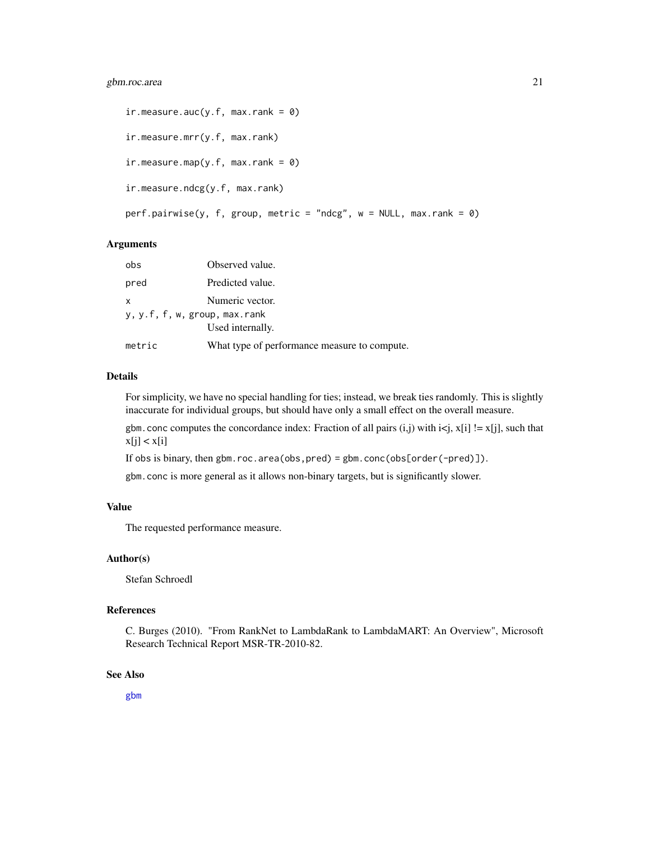```
ir. measure.auc(y.f, max.rank = 0)
ir.measure.mrr(y.f, max.rank)
ir.measure.map(y.f, max.rank = 0)
ir.measure.ndcg(y.f, max.rank)
perf.pairwise(y, f, group, metric = "ndcg", w = NULL, max.rank = 0)
```
# Arguments

| obs                           | Observed value.                              |  |
|-------------------------------|----------------------------------------------|--|
| pred                          | Predicted value.                             |  |
| $\mathsf{x}$                  | Numeric vector.                              |  |
| y, y.f, f, w, group, max.rank |                                              |  |
|                               | Used internally.                             |  |
| metric                        | What type of performance measure to compute. |  |

# Details

For simplicity, we have no special handling for ties; instead, we break ties randomly. This is slightly inaccurate for individual groups, but should have only a small effect on the overall measure.

gbm.conc computes the concordance index: Fraction of all pairs  $(i,j)$  with  $i \leq j$ ,  $x[i]$  !=  $x[j]$ , such that  $x[j] < x[i]$ 

If obs is binary, then gbm.roc.area(obs,pred) = gbm.conc(obs[order(-pred)]).

gbm.conc is more general as it allows non-binary targets, but is significantly slower.

# Value

The requested performance measure.

# Author(s)

Stefan Schroedl

#### References

C. Burges (2010). "From RankNet to LambdaRank to LambdaMART: An Overview", Microsoft Research Technical Report MSR-TR-2010-82.

#### See Also

[gbm](#page-5-1)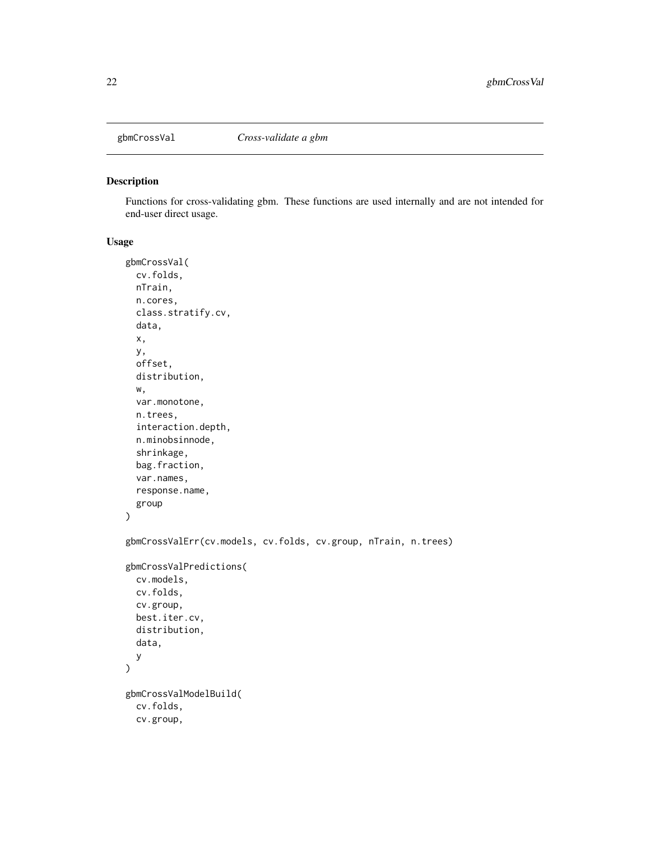<span id="page-21-0"></span>

## Description

Functions for cross-validating gbm. These functions are used internally and are not intended for end-user direct usage.

#### Usage

```
gbmCrossVal(
 cv.folds,
 nTrain,
 n.cores,
  class.stratify.cv,
  data,
  x,
  y,
  offset,
  distribution,
 w,
  var.monotone,
  n.trees,
  interaction.depth,
  n.minobsinnode,
  shrinkage,
  bag.fraction,
  var.names,
  response.name,
  group
)
gbmCrossValErr(cv.models, cv.folds, cv.group, nTrain, n.trees)
gbmCrossValPredictions(
 cv.models,
 cv.folds,
  cv.group,
 best.iter.cv,
  distribution,
 data,
 y
\mathcal{L}gbmCrossValModelBuild(
  cv.folds,
  cv.group,
```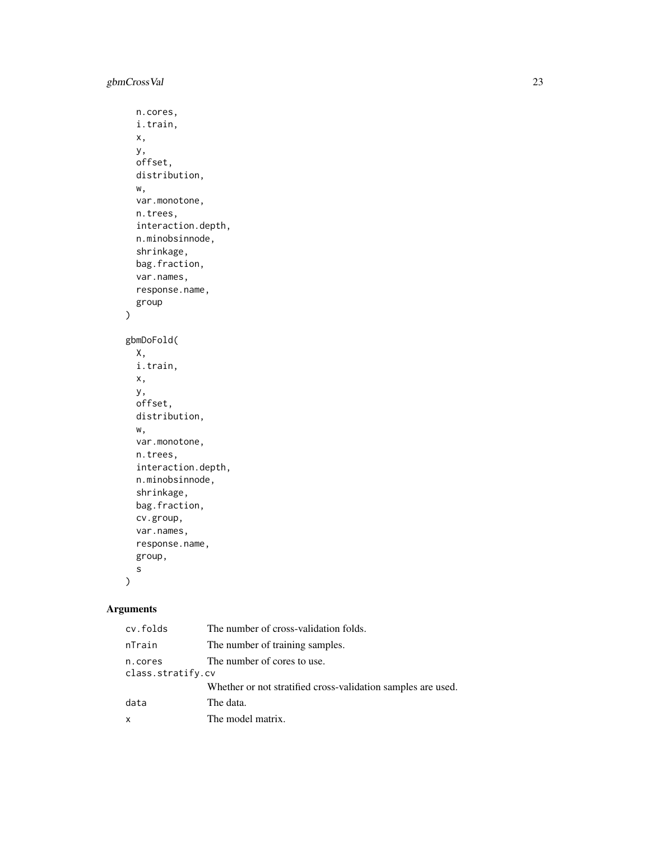)

```
n.cores,
 i.train,
 x,
 y,
 offset,
 distribution,
 w,
  var.monotone,
 n.trees,
  interaction.depth,
  n.minobsinnode,
  shrinkage,
 bag.fraction,
  var.names,
  response.name,
  group
gbmDoFold(
 X,
 i.train,
 x,
 y,
 offset,
 distribution,
 w,
  var.monotone,
 n.trees,
  interaction.depth,
  n.minobsinnode,
  shrinkage,
 bag.fraction,
  cv.group,
 var.names,
  response.name,
 group,
  s
\mathcal{L}
```
# Arguments

| cv.folds                     | The number of cross-validation folds.                        |
|------------------------------|--------------------------------------------------------------|
| nTrain                       | The number of training samples.                              |
| n.cores<br>class.stratify.cv | The number of cores to use.                                  |
|                              | Whether or not stratified cross-validation samples are used. |
| data                         | The data.                                                    |
| x                            | The model matrix.                                            |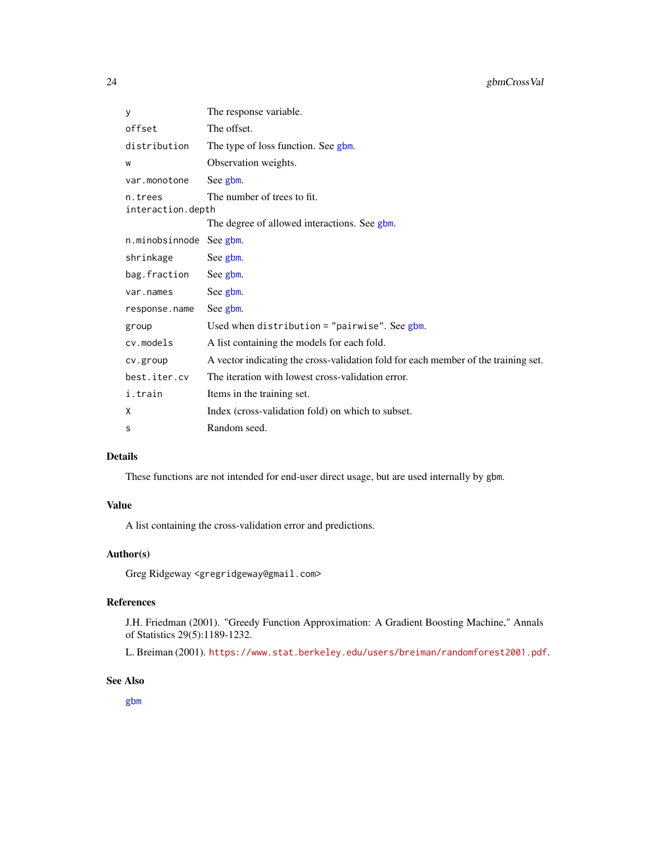<span id="page-23-0"></span>

| У                            | The response variable.                                                             |
|------------------------------|------------------------------------------------------------------------------------|
| offset                       | The offset.                                                                        |
| distribution                 | The type of loss function. See gbm.                                                |
| W                            | Observation weights.                                                               |
| var.monotone                 | See gbm.                                                                           |
| n.trees<br>interaction.depth | The number of trees to fit.                                                        |
|                              | The degree of allowed interactions. See gbm.                                       |
| n.minobsinnode               | See gbm.                                                                           |
| shrinkage                    | See gbm.                                                                           |
| bag.fraction                 | See gbm.                                                                           |
| var.names                    | See gbm.                                                                           |
| response.name                | See gbm.                                                                           |
| group                        | Used when distribution = "pairwise". See $g$ bm.                                   |
| cv.models                    | A list containing the models for each fold.                                        |
| cv.group                     | A vector indicating the cross-validation fold for each member of the training set. |
| best.iter.cv                 | The iteration with lowest cross-validation error.                                  |
| i.train                      | Items in the training set.                                                         |
| Χ                            | Index (cross-validation fold) on which to subset.                                  |
| s                            | Random seed.                                                                       |

# Details

These functions are not intended for end-user direct usage, but are used internally by gbm.

# Value

A list containing the cross-validation error and predictions.

### Author(s)

Greg Ridgeway <gregridgeway@gmail.com>

# References

J.H. Friedman (2001). "Greedy Function Approximation: A Gradient Boosting Machine," Annals of Statistics 29(5):1189-1232.

L. Breiman (2001). <https://www.stat.berkeley.edu/users/breiman/randomforest2001.pdf>.

# See Also

[gbm](#page-5-1)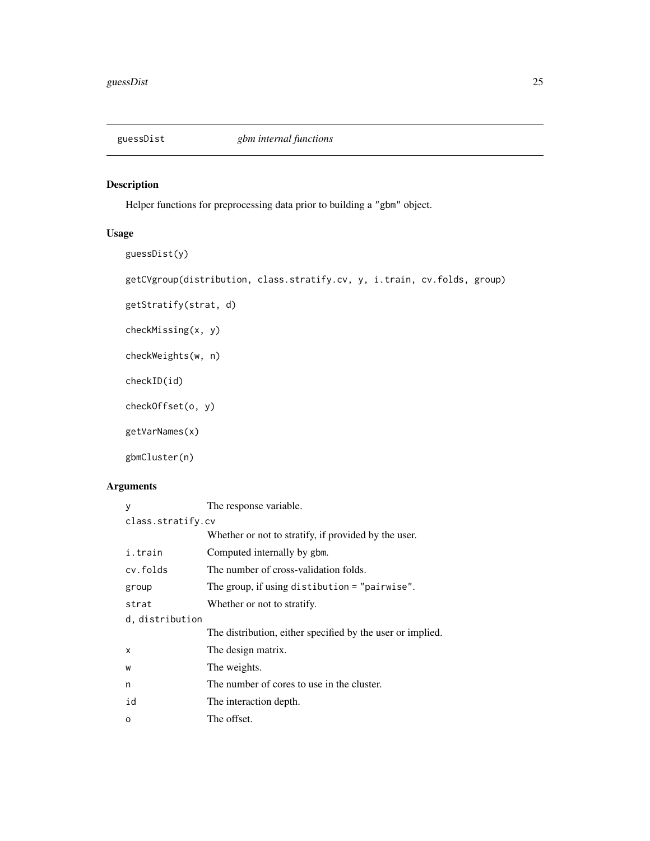<span id="page-24-0"></span>

# Description

Helper functions for preprocessing data prior to building a "gbm" object.

# Usage

```
guessDist(y)
```
getCVgroup(distribution, class.stratify.cv, y, i.train, cv.folds, group)

getStratify(strat, d)

checkMissing(x, y)

checkWeights(w, n)

checkID(id)

checkOffset(o, y)

getVarNames(x)

gbmCluster(n)

# Arguments

| у                 | The response variable.                                     |  |
|-------------------|------------------------------------------------------------|--|
| class.stratify.cv |                                                            |  |
|                   | Whether or not to stratify, if provided by the user.       |  |
| i.train           | Computed internally by gbm.                                |  |
| cv.folds          | The number of cross-validation folds.                      |  |
| group             | The group, if using distibution $=$ "pairwise".            |  |
| strat             | Whether or not to stratify.                                |  |
| d, distribution   |                                                            |  |
|                   | The distribution, either specified by the user or implied. |  |
| x                 | The design matrix.                                         |  |
| W                 | The weights.                                               |  |
| n                 | The number of cores to use in the cluster.                 |  |
| id                | The interaction depth.                                     |  |
| O                 | The offset.                                                |  |
|                   |                                                            |  |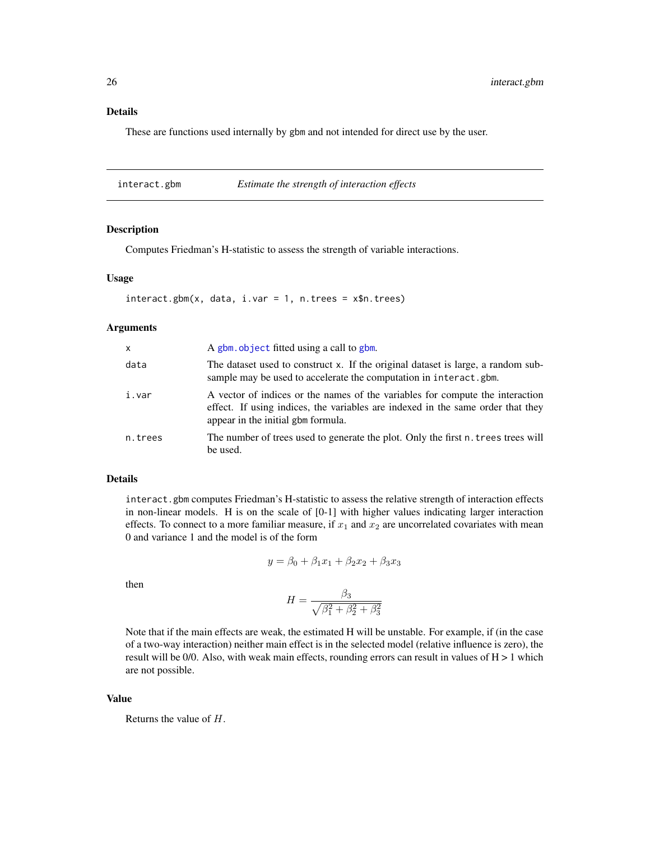<span id="page-25-0"></span>These are functions used internally by gbm and not intended for direct use by the user.

interact.gbm *Estimate the strength of interaction effects*

#### Description

Computes Friedman's H-statistic to assess the strength of variable interactions.

#### Usage

```
interact.gbm(x, data, i-var = 1, n.trees = x$n.trees)
```
# Arguments

| x       | A gbm, object fitted using a call to gbm.                                                                                                                                                              |
|---------|--------------------------------------------------------------------------------------------------------------------------------------------------------------------------------------------------------|
| data    | The dataset used to construct x. If the original dataset is large, a random sub-<br>sample may be used to accelerate the computation in interact.gbm.                                                  |
| i.var   | A vector of indices or the names of the variables for compute the interaction<br>effect. If using indices, the variables are indexed in the same order that they<br>appear in the initial gbm formula. |
| n.trees | The number of trees used to generate the plot. Only the first n. trees trees will<br>be used.                                                                                                          |

# Details

interact.gbm computes Friedman's H-statistic to assess the relative strength of interaction effects in non-linear models. H is on the scale of [0-1] with higher values indicating larger interaction effects. To connect to a more familiar measure, if  $x_1$  and  $x_2$  are uncorrelated covariates with mean 0 and variance 1 and the model is of the form

$$
y = \beta_0 + \beta_1 x_1 + \beta_2 x_2 + \beta_3 x_3
$$

then

$$
H = \frac{\beta_3}{\sqrt{\beta_1^2 + \beta_2^2 + \beta_3^2}}
$$

Note that if the main effects are weak, the estimated H will be unstable. For example, if (in the case of a two-way interaction) neither main effect is in the selected model (relative influence is zero), the result will be  $0/0$ . Also, with weak main effects, rounding errors can result in values of  $H > 1$  which are not possible.

### Value

Returns the value of H.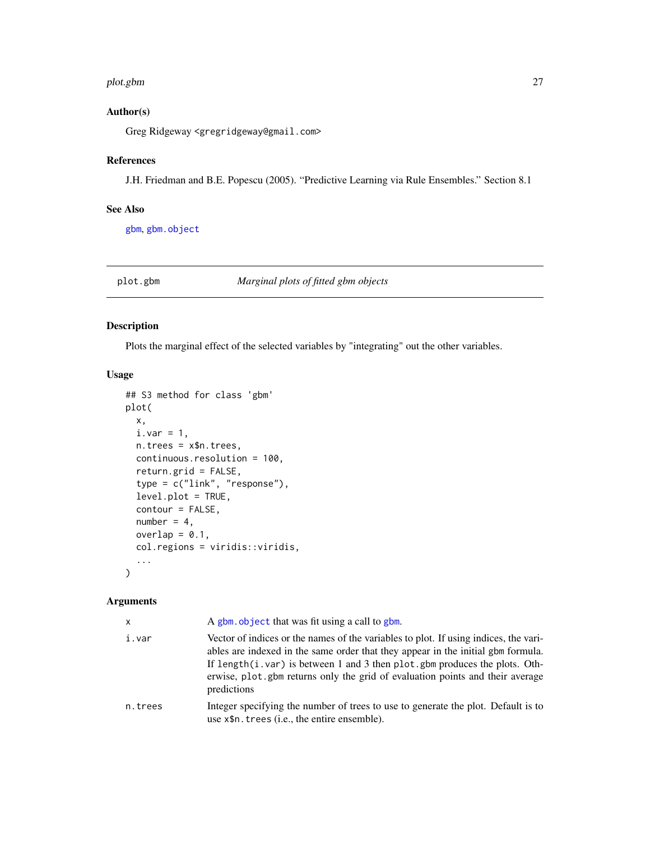#### <span id="page-26-0"></span>plot.gbm 27

# Author(s)

Greg Ridgeway <gregridgeway@gmail.com>

# References

J.H. Friedman and B.E. Popescu (2005). "Predictive Learning via Rule Ensembles." Section 8.1

# See Also

[gbm](#page-5-1), [gbm.object](#page-17-1)

<span id="page-26-1"></span>plot.gbm *Marginal plots of fitted gbm objects*

# Description

Plots the marginal effect of the selected variables by "integrating" out the other variables.

# Usage

```
## S3 method for class 'gbm'
plot(
 x,
 i.var = 1,
 n.trees = x$n.trees,
  continuous.resolution = 100,
  return.grid = FALSE,
  type = c("link", "response"),
  level.plot = TRUE,
  contour = FALSE,
 number = 4,
 overlap = 0.1,
  col.regions = viridis::viridis,
  ...
)
```
# Arguments

| x       | A gbm, object that was fit using a call to gbm.                                                                                                                                                                                                                                                                                                         |
|---------|---------------------------------------------------------------------------------------------------------------------------------------------------------------------------------------------------------------------------------------------------------------------------------------------------------------------------------------------------------|
| i.var   | Vector of indices or the names of the variables to plot. If using indices, the vari-<br>ables are indexed in the same order that they appear in the initial gbm formula.<br>If length(i.var) is between 1 and 3 then plot. gbm produces the plots. Oth-<br>erwise, plot gbm returns only the grid of evaluation points and their average<br>predictions |
| n.trees | Integer specifying the number of trees to use to generate the plot. Default is to<br>use $x$ \$n. trees ( <i>i.e.</i> , the entire ensemble).                                                                                                                                                                                                           |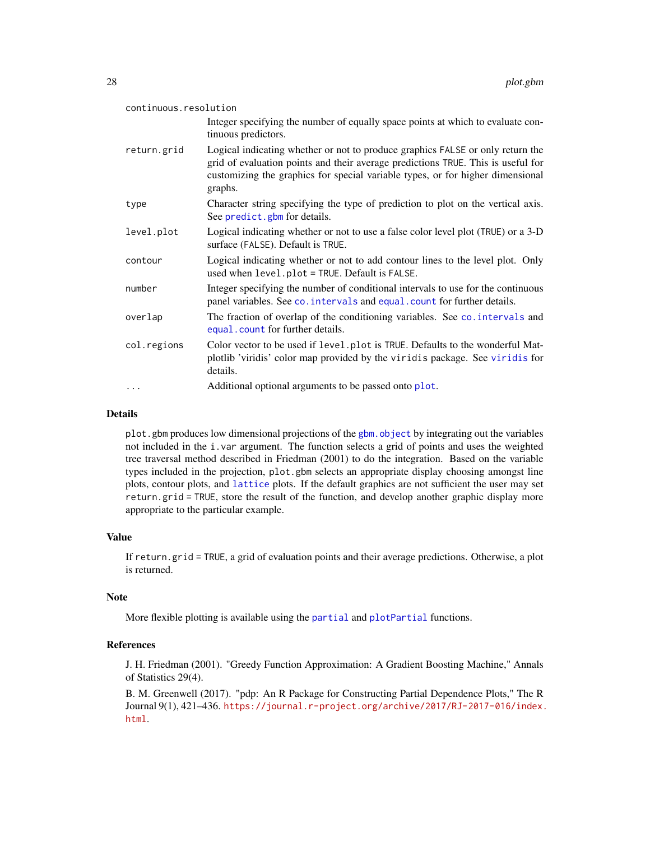<span id="page-27-0"></span>

| continuous.resolution |                                                                                                                                                                                                                                                                 |  |
|-----------------------|-----------------------------------------------------------------------------------------------------------------------------------------------------------------------------------------------------------------------------------------------------------------|--|
|                       | Integer specifying the number of equally space points at which to evaluate con-<br>tinuous predictors.                                                                                                                                                          |  |
| return.grid           | Logical indicating whether or not to produce graphics FALSE or only return the<br>grid of evaluation points and their average predictions TRUE. This is useful for<br>customizing the graphics for special variable types, or for higher dimensional<br>graphs. |  |
| type                  | Character string specifying the type of prediction to plot on the vertical axis.<br>See predict.gbm for details.                                                                                                                                                |  |
| level.plot            | Logical indicating whether or not to use a false color level plot (TRUE) or a 3-D<br>surface (FALSE). Default is TRUE.                                                                                                                                          |  |
| contour               | Logical indicating whether or not to add contour lines to the level plot. Only<br>used when level.plot = TRUE. Default is FALSE.                                                                                                                                |  |
| number                | Integer specifying the number of conditional intervals to use for the continuous<br>panel variables. See co. intervals and equal. count for further details.                                                                                                    |  |
| overlap               | The fraction of overlap of the conditioning variables. See co. intervals and<br>equal. count for further details.                                                                                                                                               |  |
| col.regions           | Color vector to be used if level.plot is TRUE. Defaults to the wonderful Mat-<br>plotlib 'viridis' color map provided by the viridis package. See viridis for<br>details.                                                                                       |  |
| $\cdots$              | Additional optional arguments to be passed onto plot.                                                                                                                                                                                                           |  |

# Details

plot.gbm produces low dimensional projections of the [gbm.object](#page-17-1) by integrating out the variables not included in the i.var argument. The function selects a grid of points and uses the weighted tree traversal method described in Friedman (2001) to do the integration. Based on the variable types included in the projection, plot.gbm selects an appropriate display choosing amongst line plots, contour plots, and [lattice](#page-0-0) plots. If the default graphics are not sufficient the user may set return.grid = TRUE, store the result of the function, and develop another graphic display more appropriate to the particular example.

# Value

If return.grid = TRUE, a grid of evaluation points and their average predictions. Otherwise, a plot is returned.

#### Note

More flexible plotting is available using the [partial](#page-0-0) and [plotPartial](#page-0-0) functions.

#### References

J. H. Friedman (2001). "Greedy Function Approximation: A Gradient Boosting Machine," Annals of Statistics 29(4).

B. M. Greenwell (2017). "pdp: An R Package for Constructing Partial Dependence Plots," The R Journal 9(1), 421–436. [https://journal.r-project.org/archive/2017/RJ-2017-016/index.](https://journal.r-project.org/archive/2017/RJ-2017-016/index.html) [html](https://journal.r-project.org/archive/2017/RJ-2017-016/index.html).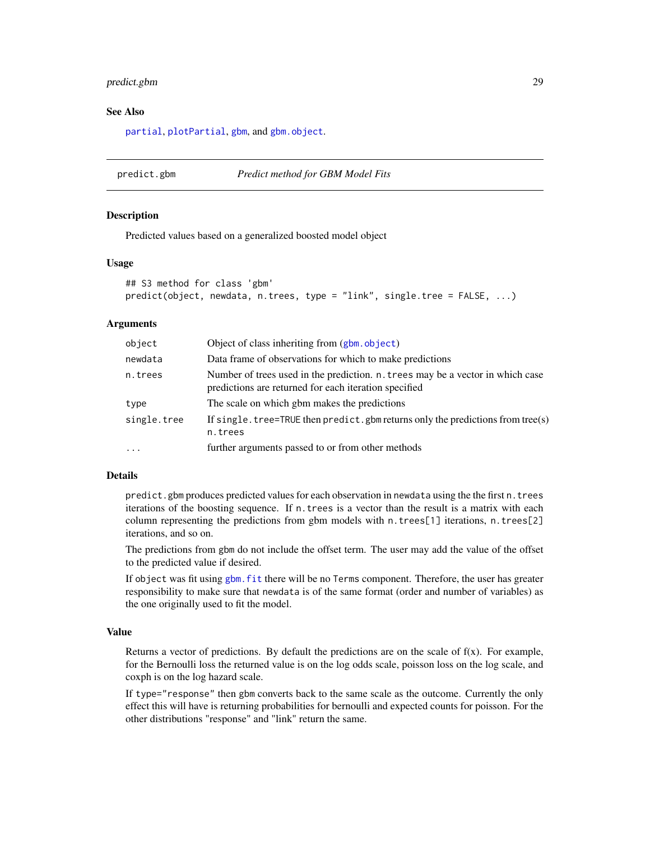# <span id="page-28-0"></span>predict.gbm 29

#### See Also

[partial](#page-0-0), [plotPartial](#page-0-0), [gbm](#page-5-1), and [gbm.object](#page-17-1).

# <span id="page-28-1"></span>predict.gbm *Predict method for GBM Model Fits*

#### Description

Predicted values based on a generalized boosted model object

#### Usage

```
## S3 method for class 'gbm'
predict(object, newdata, n.trees, type = "link", single.tree = FALSE, ...)
```
#### **Arguments**

| object      | Object of class inheriting from (gbm. object)                                                                                           |
|-------------|-----------------------------------------------------------------------------------------------------------------------------------------|
| newdata     | Data frame of observations for which to make predictions                                                                                |
| n.trees     | Number of trees used in the prediction. n. trees may be a vector in which case<br>predictions are returned for each iteration specified |
| type        | The scale on which gbm makes the predictions                                                                                            |
| single.tree | If single. tree=TRUE then predict. gbm returns only the predictions from tree(s)<br>n.trees                                             |
| $\cdot$     | further arguments passed to or from other methods                                                                                       |

### Details

predict.gbm produces predicted values for each observation in newdata using the the first n.trees iterations of the boosting sequence. If n.trees is a vector than the result is a matrix with each column representing the predictions from gbm models with n.trees[1] iterations, n.trees[2] iterations, and so on.

The predictions from gbm do not include the offset term. The user may add the value of the offset to the predicted value if desired.

If object was fit using [gbm.fit](#page-10-1) there will be no Terms component. Therefore, the user has greater responsibility to make sure that newdata is of the same format (order and number of variables) as the one originally used to fit the model.

#### Value

Returns a vector of predictions. By default the predictions are on the scale of  $f(x)$ . For example, for the Bernoulli loss the returned value is on the log odds scale, poisson loss on the log scale, and coxph is on the log hazard scale.

If type="response" then gbm converts back to the same scale as the outcome. Currently the only effect this will have is returning probabilities for bernoulli and expected counts for poisson. For the other distributions "response" and "link" return the same.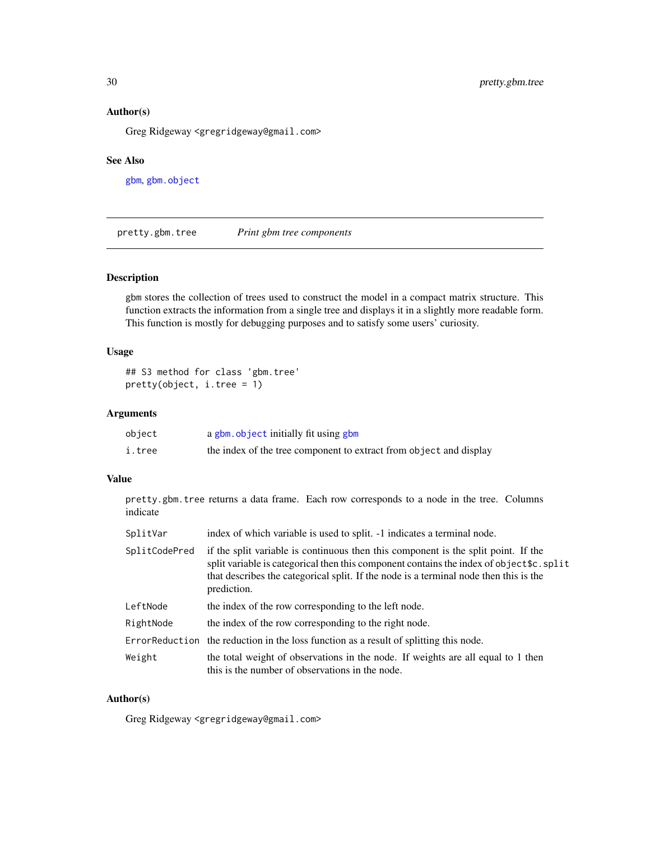# <span id="page-29-0"></span>Author(s)

Greg Ridgeway <gregridgeway@gmail.com>

# See Also

[gbm](#page-5-1), [gbm.object](#page-17-1)

<span id="page-29-1"></span>pretty.gbm.tree *Print gbm tree components*

# Description

gbm stores the collection of trees used to construct the model in a compact matrix structure. This function extracts the information from a single tree and displays it in a slightly more readable form. This function is mostly for debugging purposes and to satisfy some users' curiosity.

# Usage

## S3 method for class 'gbm.tree' pretty(object, i.tree = 1)

# Arguments

| object | a gbm. object initially fit using gbm                              |
|--------|--------------------------------------------------------------------|
| i.tree | the index of the tree component to extract from object and display |

# Value

pretty.gbm.tree returns a data frame. Each row corresponds to a node in the tree. Columns indicate

| SplitVar      | index of which variable is used to split. -1 indicates a terminal node.                                                                                                                                                                                                                 |
|---------------|-----------------------------------------------------------------------------------------------------------------------------------------------------------------------------------------------------------------------------------------------------------------------------------------|
| SplitCodePred | if the split variable is continuous then this component is the split point. If the<br>split variable is categorical then this component contains the index of object \$c. split<br>that describes the categorical split. If the node is a terminal node then this is the<br>prediction. |
| LeftNode      | the index of the row corresponding to the left node.                                                                                                                                                                                                                                    |
| RightNode     | the index of the row corresponding to the right node.                                                                                                                                                                                                                                   |
|               | Error Reduction the reduction in the loss function as a result of splitting this node.                                                                                                                                                                                                  |
| Weight        | the total weight of observations in the node. If weights are all equal to 1 then<br>this is the number of observations in the node.                                                                                                                                                     |

# Author(s)

Greg Ridgeway <gregridgeway@gmail.com>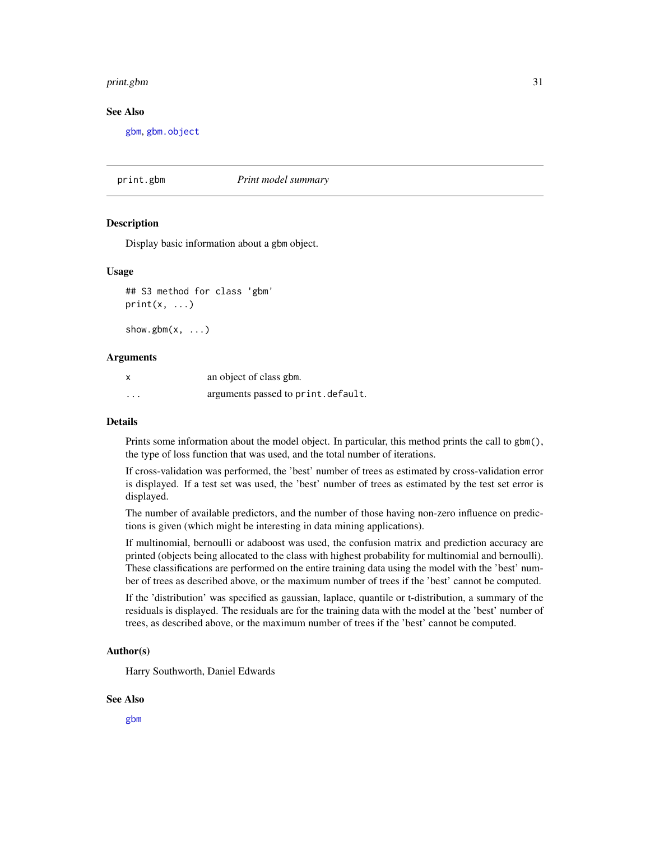#### <span id="page-30-0"></span>print.gbm 31

#### See Also

[gbm](#page-5-1), [gbm.object](#page-17-1)

print.gbm *Print model summary*

#### **Description**

Display basic information about a gbm object.

#### Usage

## S3 method for class 'gbm'  $print(x, \ldots)$ 

show.gbm $(x, \ldots)$ 

#### **Arguments**

| X        | an object of class gbm.            |
|----------|------------------------------------|
| $\cdots$ | arguments passed to print.default. |

#### Details

Prints some information about the model object. In particular, this method prints the call to gbm(), the type of loss function that was used, and the total number of iterations.

If cross-validation was performed, the 'best' number of trees as estimated by cross-validation error is displayed. If a test set was used, the 'best' number of trees as estimated by the test set error is displayed.

The number of available predictors, and the number of those having non-zero influence on predictions is given (which might be interesting in data mining applications).

If multinomial, bernoulli or adaboost was used, the confusion matrix and prediction accuracy are printed (objects being allocated to the class with highest probability for multinomial and bernoulli). These classifications are performed on the entire training data using the model with the 'best' number of trees as described above, or the maximum number of trees if the 'best' cannot be computed.

If the 'distribution' was specified as gaussian, laplace, quantile or t-distribution, a summary of the residuals is displayed. The residuals are for the training data with the model at the 'best' number of trees, as described above, or the maximum number of trees if the 'best' cannot be computed.

#### Author(s)

Harry Southworth, Daniel Edwards

#### See Also

[gbm](#page-5-1)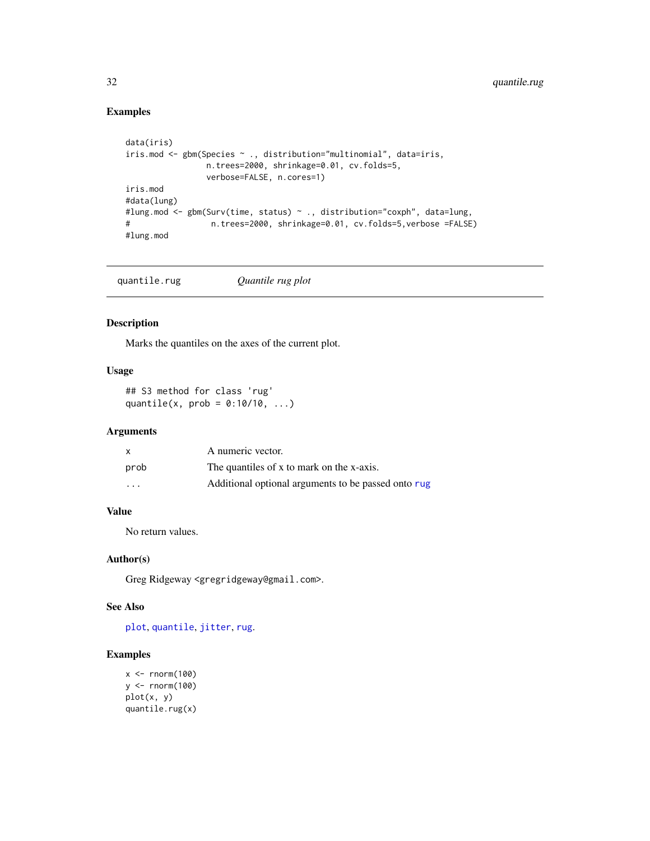# Examples

```
data(iris)
iris.mod <- gbm(Species ~ ., distribution="multinomial", data=iris,
                n.trees=2000, shrinkage=0.01, cv.folds=5,
                verbose=FALSE, n.cores=1)
iris.mod
#data(lung)
#lung.mod <- gbm(Surv(time, status) ~ ., distribution="coxph", data=lung,
# n.trees=2000, shrinkage=0.01, cv.folds=5,verbose =FALSE)
#lung.mod
```
# Description

Marks the quantiles on the axes of the current plot.

# Usage

```
## S3 method for class 'rug'
quantile(x, prob = 0:10/10, ...)
```
# Arguments

| X                       | A numeric vector.                                   |
|-------------------------|-----------------------------------------------------|
| prob                    | The quantiles of x to mark on the x-axis.           |
| $\cdot$ $\cdot$ $\cdot$ | Additional optional arguments to be passed onto rug |

# Value

No return values.

# Author(s)

Greg Ridgeway <gregridgeway@gmail.com>.

# See Also

[plot](#page-0-0), [quantile](#page-0-0), [jitter](#page-0-0), [rug](#page-0-0).

# Examples

```
x < - rnorm(100)
y <- rnorm(100)
plot(x, y)
quantile.rug(x)
```
<span id="page-31-0"></span>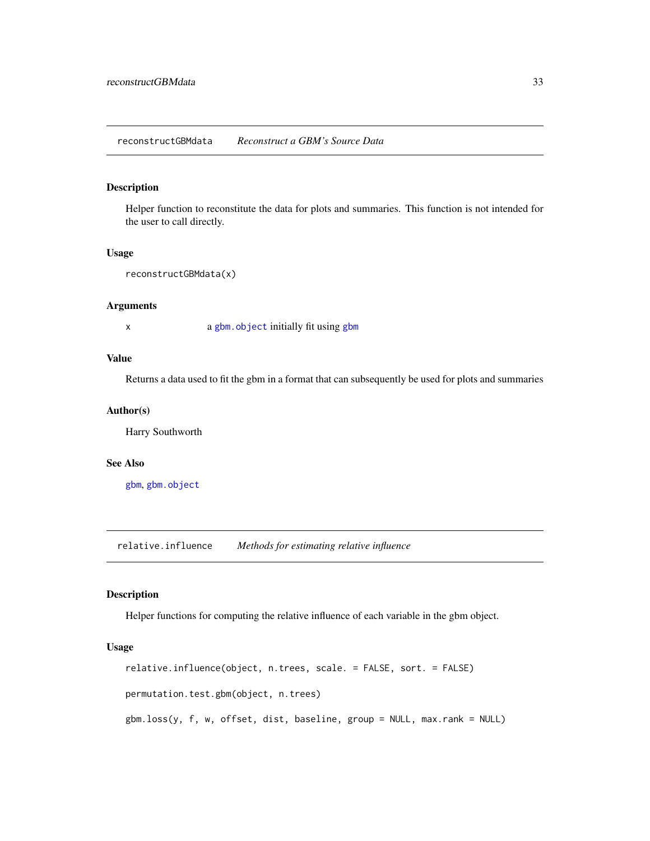# <span id="page-32-0"></span>Description

Helper function to reconstitute the data for plots and summaries. This function is not intended for the user to call directly.

#### Usage

```
reconstructGBMdata(x)
```
#### Arguments

x a [gbm.object](#page-17-1) initially fit using [gbm](#page-5-1)

### Value

Returns a data used to fit the gbm in a format that can subsequently be used for plots and summaries

#### Author(s)

Harry Southworth

#### See Also

[gbm](#page-5-1), [gbm.object](#page-17-1)

<span id="page-32-1"></span>relative.influence *Methods for estimating relative influence*

### <span id="page-32-2"></span>Description

Helper functions for computing the relative influence of each variable in the gbm object.

#### Usage

```
relative.influence(object, n.trees, scale. = FALSE, sort. = FALSE)
permutation.test.gbm(object, n.trees)
gbm.loss(y, f, w, offset, dist, baseline, group = NULL, max.rank = NULL)
```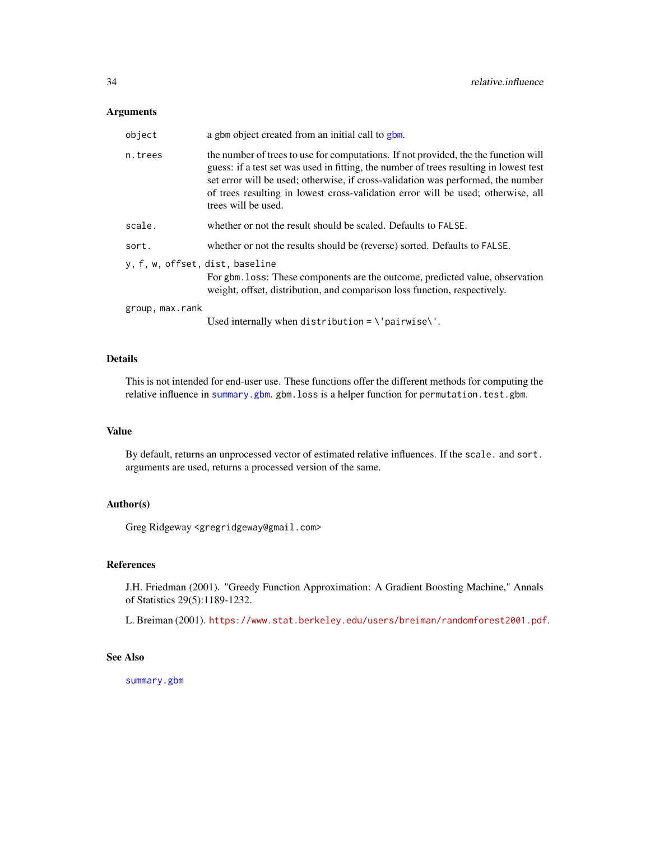# <span id="page-33-0"></span>Arguments

| object                          | a gbm object created from an initial call to gbm.                                                                                                                                                                                                                                                                                                                            |
|---------------------------------|------------------------------------------------------------------------------------------------------------------------------------------------------------------------------------------------------------------------------------------------------------------------------------------------------------------------------------------------------------------------------|
| n.trees                         | the number of trees to use for computations. If not provided, the the function will<br>guess: if a test set was used in fitting, the number of trees resulting in lowest test<br>set error will be used; otherwise, if cross-validation was performed, the number<br>of trees resulting in lowest cross-validation error will be used; otherwise, all<br>trees will be used. |
| scale.                          | whether or not the result should be scaled. Defaults to FALSE.                                                                                                                                                                                                                                                                                                               |
| sort.                           | whether or not the results should be (reverse) sorted. Defaults to FALSE.                                                                                                                                                                                                                                                                                                    |
| y, f, w, offset, dist, baseline | For gbm. loss: These components are the outcome, predicted value, observation<br>weight, offset, distribution, and comparison loss function, respectively.                                                                                                                                                                                                                   |
| group, max.rank                 |                                                                                                                                                                                                                                                                                                                                                                              |
|                                 | Used internally when distribution = $\iota$ pairwise $\iota'$ .                                                                                                                                                                                                                                                                                                              |

# Details

This is not intended for end-user use. These functions offer the different methods for computing the relative influence in [summary.gbm](#page-34-1). gbm.loss is a helper function for permutation.test.gbm.

# Value

By default, returns an unprocessed vector of estimated relative influences. If the scale. and sort. arguments are used, returns a processed version of the same.

# Author(s)

Greg Ridgeway <gregridgeway@gmail.com>

# References

J.H. Friedman (2001). "Greedy Function Approximation: A Gradient Boosting Machine," Annals of Statistics 29(5):1189-1232.

L. Breiman (2001). <https://www.stat.berkeley.edu/users/breiman/randomforest2001.pdf>.

#### See Also

[summary.gbm](#page-34-1)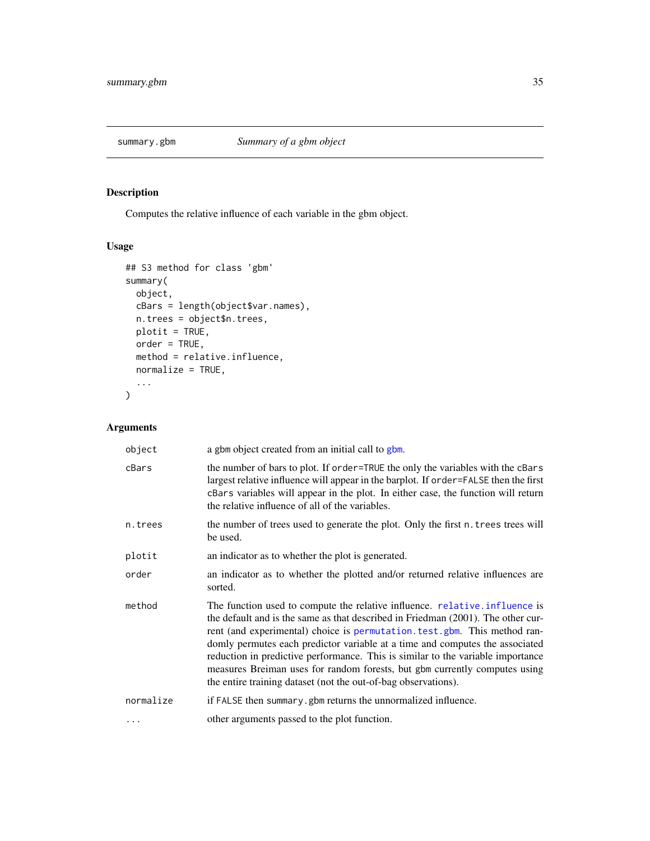<span id="page-34-1"></span><span id="page-34-0"></span>

# Description

Computes the relative influence of each variable in the gbm object.

# Usage

```
## S3 method for class 'gbm'
summary(
 object,
 cBars = length(object$var.names),
 n.trees = object$n.trees,
 plotit = TRUE,
 order = TRUE,
 method = relative.influence,
 normalize = TRUE,
  ...
)
```
# Arguments

| object    | a gbm object created from an initial call to gbm.                                                                                                                                                                                                                                                                                                                                                                                                                                                                                                               |
|-----------|-----------------------------------------------------------------------------------------------------------------------------------------------------------------------------------------------------------------------------------------------------------------------------------------------------------------------------------------------------------------------------------------------------------------------------------------------------------------------------------------------------------------------------------------------------------------|
| cBars     | the number of bars to plot. If order=TRUE the only the variables with the cBars<br>largest relative influence will appear in the barplot. If order=FALSE then the first<br>cBars variables will appear in the plot. In either case, the function will return<br>the relative influence of all of the variables.                                                                                                                                                                                                                                                 |
| n.trees   | the number of trees used to generate the plot. Only the first n. trees trees will<br>be used.                                                                                                                                                                                                                                                                                                                                                                                                                                                                   |
| plotit    | an indicator as to whether the plot is generated.                                                                                                                                                                                                                                                                                                                                                                                                                                                                                                               |
| order     | an indicator as to whether the plotted and/or returned relative influences are<br>sorted.                                                                                                                                                                                                                                                                                                                                                                                                                                                                       |
| method    | The function used to compute the relative influence. relative.influence is<br>the default and is the same as that described in Friedman (2001). The other cur-<br>rent (and experimental) choice is permutation. test. gbm. This method ran-<br>domly permutes each predictor variable at a time and computes the associated<br>reduction in predictive performance. This is similar to the variable importance<br>measures Breiman uses for random forests, but gbm currently computes using<br>the entire training dataset (not the out-of-bag observations). |
| normalize | if FALSE then summary.gbm returns the unnormalized influence.                                                                                                                                                                                                                                                                                                                                                                                                                                                                                                   |
| $\ddotsc$ | other arguments passed to the plot function.                                                                                                                                                                                                                                                                                                                                                                                                                                                                                                                    |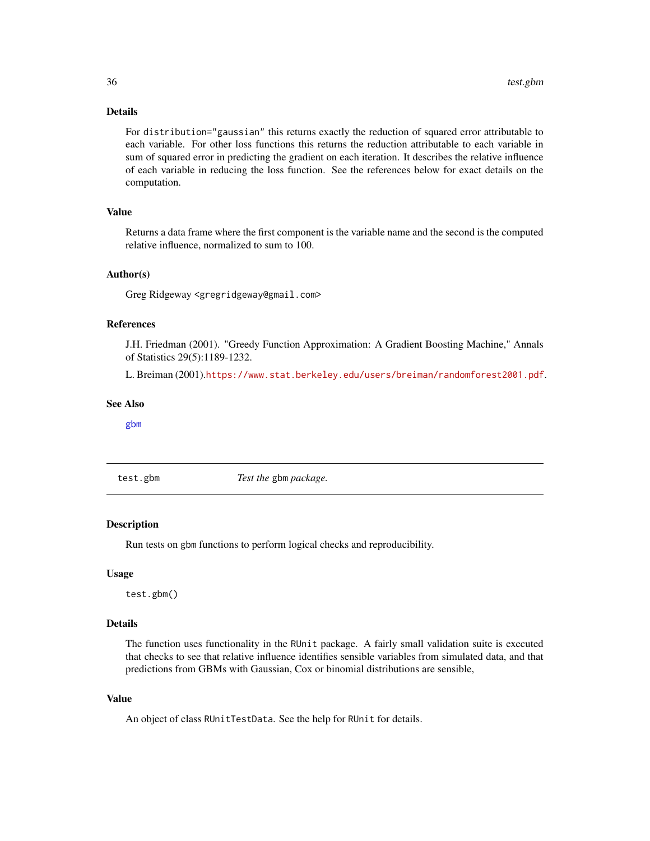# <span id="page-35-0"></span>Details

For distribution="gaussian" this returns exactly the reduction of squared error attributable to each variable. For other loss functions this returns the reduction attributable to each variable in sum of squared error in predicting the gradient on each iteration. It describes the relative influence of each variable in reducing the loss function. See the references below for exact details on the computation.

#### Value

Returns a data frame where the first component is the variable name and the second is the computed relative influence, normalized to sum to 100.

#### Author(s)

Greg Ridgeway <gregridgeway@gmail.com>

# References

J.H. Friedman (2001). "Greedy Function Approximation: A Gradient Boosting Machine," Annals of Statistics 29(5):1189-1232.

L. Breiman (2001).<https://www.stat.berkeley.edu/users/breiman/randomforest2001.pdf>.

#### See Also

[gbm](#page-5-1)

test.gbm *Test the* gbm *package.*

#### Description

Run tests on gbm functions to perform logical checks and reproducibility.

#### Usage

test.gbm()

#### Details

The function uses functionality in the RUnit package. A fairly small validation suite is executed that checks to see that relative influence identifies sensible variables from simulated data, and that predictions from GBMs with Gaussian, Cox or binomial distributions are sensible,

#### Value

An object of class RUnitTestData. See the help for RUnit for details.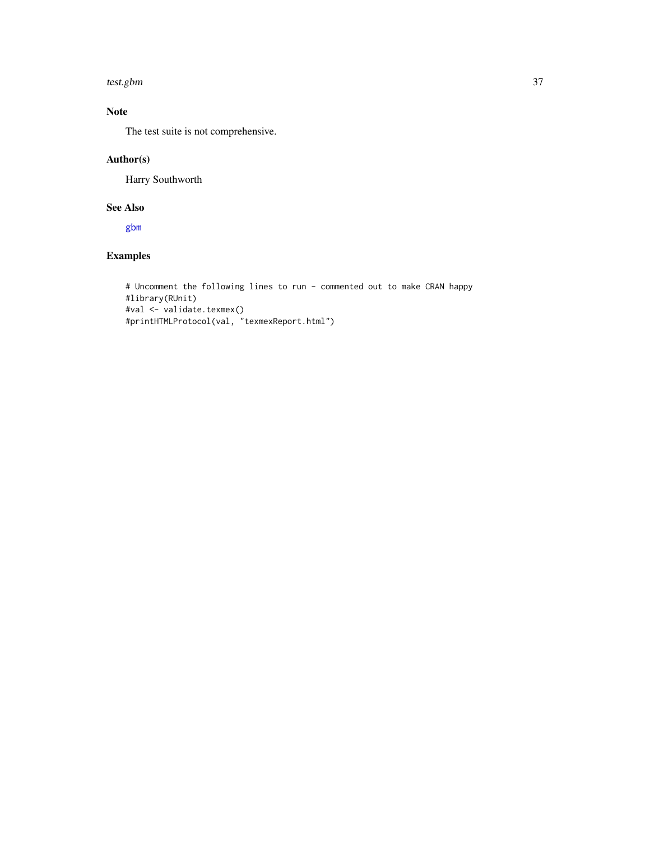#### <span id="page-36-0"></span>test.gbm 37

# Note

The test suite is not comprehensive.

# Author(s)

Harry Southworth

# See Also

[gbm](#page-5-1)

# Examples

```
# Uncomment the following lines to run - commented out to make CRAN happy
#library(RUnit)
#val <- validate.texmex()
#printHTMLProtocol(val, "texmexReport.html")
```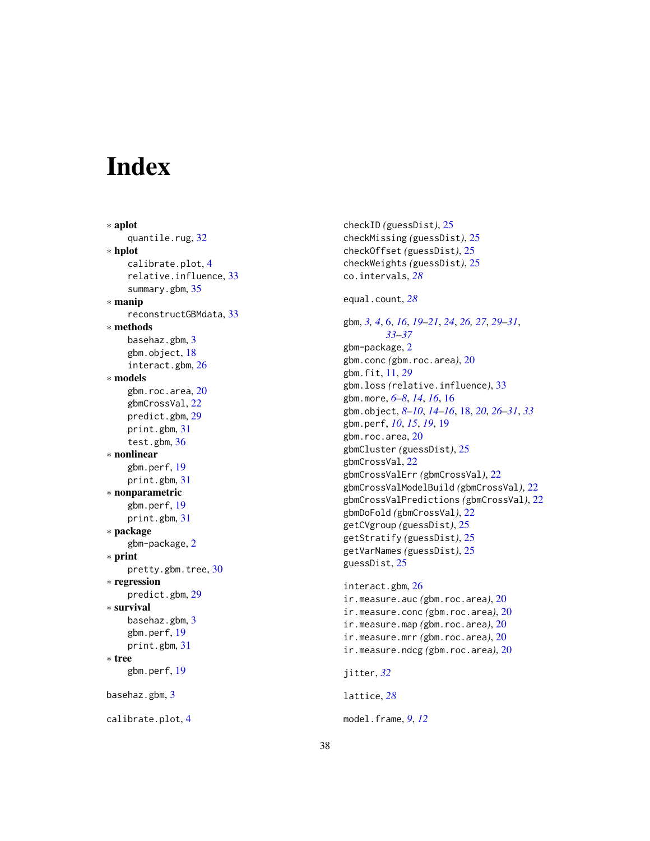# <span id="page-37-0"></span>**Index**

∗ aplot quantile.rug, [32](#page-31-0) ∗ hplot calibrate.plot , [4](#page-3-0) relative.influence, [33](#page-32-0) summary.gbm, [35](#page-34-0) ∗ manip reconstructGBMdata , [33](#page-32-0) ∗ methods basehaz.gbm , [3](#page-2-0) gbm.object , [18](#page-17-0) interact.gbm , [26](#page-25-0) ∗ models gbm.roc.area, $20\,$  $20\,$ gbmCrossVal , [22](#page-21-0) predict.gbm , [29](#page-28-0) print.gbm , [31](#page-30-0) test.gbm , [36](#page-35-0) ∗ nonlinear gbm.perf , [19](#page-18-0) print.gbm , [31](#page-30-0) ∗ nonparametric gbm.perf , [19](#page-18-0) print.gbm , [31](#page-30-0) ∗ package gbm-package , [2](#page-1-0) ∗ print pretty.gbm.tree , [30](#page-29-0) ∗ regression predict.gbm , [29](#page-28-0) ∗ survival basehaz.gbm, [3](#page-2-0) gbm.perf , [19](#page-18-0) print.gbm , [31](#page-30-0) ∗ tree gbm.perf , [19](#page-18-0) basehaz.gbm , [3](#page-2-0) calibrate.plot , [4](#page-3-0)

checkID *(*guessDist *)* , [25](#page-24-0) checkMissing *(*guessDist *)* , [25](#page-24-0) checkOffset *(*guessDist *)* , [25](#page-24-0) checkWeights *(*guessDist *)* , [25](#page-24-0) co.intervals , *[28](#page-27-0)*

equal.count , *[28](#page-27-0)*

gbm , *[3](#page-2-0) , [4](#page-3-0)* , [6](#page-5-0) , *[16](#page-15-0)* , *[19](#page-18-0) [–21](#page-20-0)* , *[24](#page-23-0)* , *[26,](#page-25-0) [27](#page-26-0)* , *[29](#page-28-0) [–31](#page-30-0)* , *[33](#page-32-0) [–37](#page-36-0)* gbm-package , [2](#page-1-0) gbm.conc *(*gbm.roc.area *)* , [20](#page-19-0) gbm.fit , [11](#page-10-0) , *[29](#page-28-0)* gbm.loss *(*relative.influence *)* , [33](#page-32-0) gbm.more , *[6–](#page-5-0) [8](#page-7-0)* , *[14](#page-13-0)* , *[16](#page-15-0)* , [16](#page-15-0) gbm.object , *[8](#page-7-0) [–10](#page-9-0)* , *[14](#page-13-0) [–16](#page-15-0)* , [18](#page-17-0) , *[20](#page-19-0)* , *[26](#page-25-0)[–31](#page-30-0)* , *[33](#page-32-0)* gbm.perf , *[10](#page-9-0)* , *[15](#page-14-0)* , *[19](#page-18-0)* , [19](#page-18-0) gbm.roc.area, $20\,$  $20\,$ gbmCluster *(*guessDist *)* , [25](#page-24-0) gbmCrossVal , [22](#page-21-0) gbmCrossValErr *(*gbmCrossVal *)* , [22](#page-21-0) gbmCrossValModelBuild *(*gbmCrossVal *)* , [22](#page-21-0) gbmCrossValPredictions *(*gbmCrossVal *)* , [22](#page-21-0) gbmDoFold *(*gbmCrossVal *)* , [22](#page-21-0) getCVgroup *(*guessDist *)* , [25](#page-24-0) getStratify *(*guessDist *)* , [25](#page-24-0) getVarNames *(*guessDist *)* , [25](#page-24-0) guessDist , [25](#page-24-0)

interact.gbm , [26](#page-25-0) ir.measure.auc *(*gbm.roc.area *)* , [20](#page-19-0) ir.measure.conc *(*gbm.roc.area *)* , [20](#page-19-0) ir.measure.map *(*gbm.roc.area *)* , [20](#page-19-0) ir.measure.mrr *(*gbm.roc.area *)* , [20](#page-19-0) ir.measure.ndcg *(*gbm.roc.area *)* , [20](#page-19-0)

```
jitter
, 32
```
lattice , *[28](#page-27-0)*

```
model.frame
,
9
, 12
```